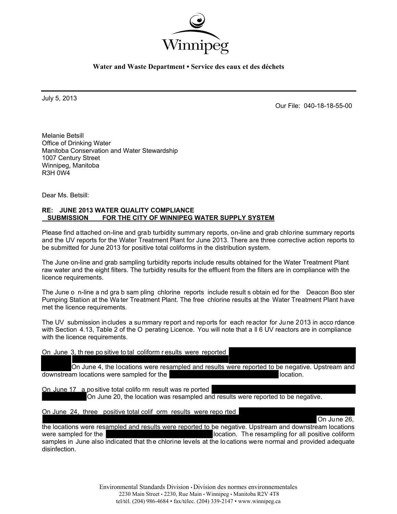

July 5, 2013

Our File: 040-18-18-55-00

On June 26,

Melanie Betsill Office of Drinking Water Manitoba Conservation and Water Stewardship 1007 Century Street Winnipeg, Manitoba R3H 0W4

Dear Ms. Betsill:

### **RE: JUNE 2013 WATER QUALITY COMPLIANCE SUBMISSION FOR THE CITY OF WINNIPEG WATER SUPPLY SYSTEM**

Please find attached on-line and grab turbidity summary reports, on-line and grab chlorine summary reports and the UV reports for the Water Treatment Plant for June 2013. There are three corrective action reports to be submitted for June 2013 for positive total coliforms in the distribution system.

The June on-line and grab sampling turbidity reports include results obtained for the Water Treatment Plant raw water and the eight filters. The turbidity results for the effluent from the filters are in compliance with the licence requirements.

The June o n-line a nd gra b sam pling chlorine reports include result s obtain ed for the Deacon Boo ster Pumping Station at the Wa ter Treatment Plant. The free chlorine results at the Water Treatment Plant have met the licence requirements.

The UV submission includes a summary report and reports for each reactor for June 2013 in acco rdance with Section 4.13, Table 2 of the O perating Licence. You will note that a ll 6 UV reactors are in compliance with the licence requirements.

On June 3, th ree po sitive to tal coliform r esults were reported

On June 4, the locations were resampled and results were reported to be negative. Upstream and downstream locations were sampled for the location.

On June 17 a positive total colifo rm result was re ported On June 20, the location was resampled and results were reported to be negative.

On June 24, three positive total colif orm results were repo rted

the locations were resampled and results were reported to be negative. Upstream and downstream locations were sampled for the location. The resampling for all positive coliform samples in June also indicated that the chlorine levels at the locations were normal and provided adequate disinfection.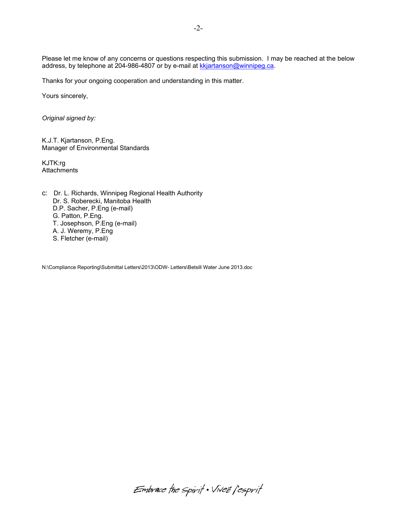Please let me know of any concerns or questions respecting this submission. I may be reached at the below address, by telephone at 204-986-4807 or by e-mail at kkjartanson@winnipeg.ca.

Thanks for your ongoing cooperation and understanding in this matter.

Yours sincerely,

*Original signed by:* 

K.J.T. Kjartanson, P.Eng. Manager of Environmental Standards

KJTK:rg **Attachments** 

c: Dr. L. Richards, Winnipeg Regional Health Authority Dr. S. Roberecki, Manitoba Health D.P. Sacher, P.Eng (e-mail) G. Patton, P.Eng. T. Josephson, P.Eng (e-mail) A. J. Weremy, P.Eng S. Fletcher (e-mail)

N:\Compliance Reporting\Submittal Letters\2013\ODW- Letters\Betsill Water June 2013.doc

Embrace the spirit . Vivez l'esprit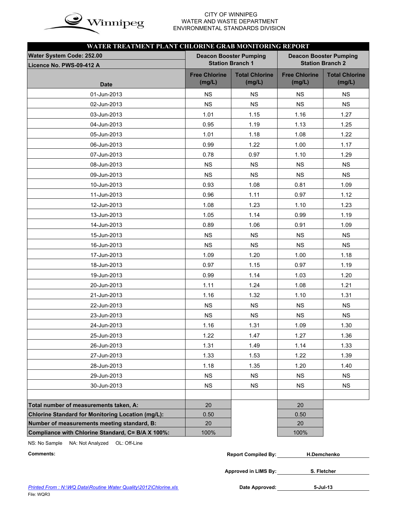

### CITY OF WINNIPEG  $\mathbf{in}$   $\mathbf{\alpha}$  WATER AND WASTE DEPARTMENT ENVIRONMENTAL STANDARDS DIVISION

| WATER TREATMENT PLANT CHLORINE GRAB MONITORING REPORT    |                                |                                                          |                                |                                 |
|----------------------------------------------------------|--------------------------------|----------------------------------------------------------|--------------------------------|---------------------------------|
| Water System Code: 252.00<br>Licence No. PWS-09-412 A    |                                | <b>Deacon Booster Pumping</b><br><b>Station Branch 1</b> | <b>Deacon Booster Pumping</b>  | <b>Station Branch 2</b>         |
| <b>Date</b>                                              | <b>Free Chlorine</b><br>(mg/L) | <b>Total Chlorine</b><br>(mg/L)                          | <b>Free Chlorine</b><br>(mg/L) | <b>Total Chlorine</b><br>(mg/L) |
| 01-Jun-2013                                              | NS.                            | <b>NS</b>                                                | <b>NS</b>                      | <b>NS</b>                       |
| 02-Jun-2013                                              | <b>NS</b>                      | <b>NS</b>                                                | <b>NS</b>                      | <b>NS</b>                       |
| 03-Jun-2013                                              | 1.01                           | 1.15                                                     | 1.16                           | 1.27                            |
| 04-Jun-2013                                              | 0.95                           | 1.19                                                     | 1.13                           | 1.25                            |
| 05-Jun-2013                                              | 1.01                           | 1.18                                                     | 1.08                           | 1.22                            |
| 06-Jun-2013                                              | 0.99                           | 1.22                                                     | 1.00                           | 1.17                            |
| 07-Jun-2013                                              | 0.78                           | 0.97                                                     | 1.10                           | 1.29                            |
| 08-Jun-2013                                              | <b>NS</b>                      | <b>NS</b>                                                | <b>NS</b>                      | <b>NS</b>                       |
| 09-Jun-2013                                              | <b>NS</b>                      | <b>NS</b>                                                | <b>NS</b>                      | <b>NS</b>                       |
| 10-Jun-2013                                              | 0.93                           | 1.08                                                     | 0.81                           | 1.09                            |
| 11-Jun-2013                                              | 0.96                           | 1.11                                                     | 0.97                           | 1.12                            |
| 12-Jun-2013                                              | 1.08                           | 1.23                                                     | 1.10                           | 1.23                            |
| 13-Jun-2013                                              | 1.05                           | 1.14                                                     | 0.99                           | 1.19                            |
| 14-Jun-2013                                              | 0.89                           | 1.06                                                     | 0.91                           | 1.09                            |
| 15-Jun-2013                                              | <b>NS</b>                      | <b>NS</b>                                                | <b>NS</b>                      | <b>NS</b>                       |
| 16-Jun-2013                                              | <b>NS</b>                      | <b>NS</b>                                                | <b>NS</b>                      | <b>NS</b>                       |
| 17-Jun-2013                                              | 1.09                           | 1.20                                                     | 1.00                           | 1.18                            |
| 18-Jun-2013                                              | 0.97                           | 1.15                                                     | 0.97                           | 1.19                            |
| 19-Jun-2013                                              | 0.99                           | 1.14                                                     | 1.03                           | 1.20                            |
| 20-Jun-2013                                              | 1.11                           | 1.24                                                     | 1.08                           | 1.21                            |
| 21-Jun-2013                                              | 1.16                           | 1.32                                                     | 1.10                           | 1.31                            |
| 22-Jun-2013                                              | <b>NS</b>                      | <b>NS</b>                                                | <b>NS</b>                      | <b>NS</b>                       |
| 23-Jun-2013                                              | <b>NS</b>                      | <b>NS</b>                                                | <b>NS</b>                      | <b>NS</b>                       |
| 24-Jun-2013                                              | 1.16                           | 1.31                                                     | 1.09                           | 1.30                            |
| 25-Jun-2013                                              | 1.22                           | 1.47                                                     | 1.27                           | 1.36                            |
| 26-Jun-2013                                              | 1.31                           | 1.49                                                     | 1.14                           | 1.33                            |
| 27-Jun-2013                                              | 1.33                           | 1.53                                                     | 1.22                           | 1.39                            |
| 28-Jun-2013                                              | 1.18                           | 1.35                                                     | 1.20                           | 1.40                            |
| 29-Jun-2013                                              | NS                             | <b>NS</b>                                                | <b>NS</b>                      | <b>NS</b>                       |
| 30-Jun-2013                                              | <b>NS</b>                      | <b>NS</b>                                                | <b>NS</b>                      | <b>NS</b>                       |
|                                                          |                                |                                                          |                                |                                 |
| Total number of measurements taken, A:                   | 20                             |                                                          | 20                             |                                 |
| <b>Chlorine Standard for Monitoring Location (mg/L):</b> | 0.50                           |                                                          | 0.50                           |                                 |
| Number of measurements meeting standard, B:              | 20                             |                                                          | 20                             |                                 |
| Compliance with Chlorine Standard, C= B/A X 100%:        | 100%                           |                                                          | 100%                           |                                 |

NS: No Sample NA: Not Analyzed OL: Off-Line

| Comments: | <b>Report Compiled By:</b> | H.Demchenko |
|-----------|----------------------------|-------------|
|           |                            |             |

**Approved in LIMS By: S. Fletcher**

Date Approved: 5-Jul-13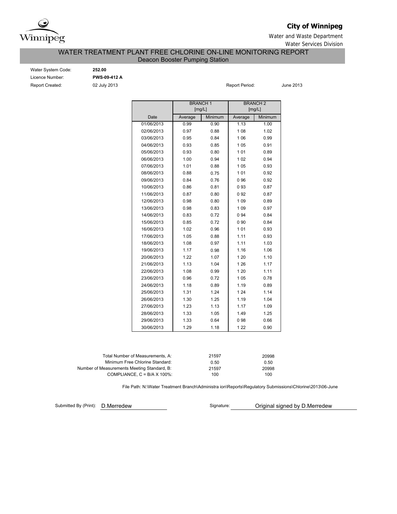

### **City of Winnipeg**

Water and Waste Department Water Services Division

### WATER TREATMENT PLANT FREE CHLORINE ON-LINE MONITORING REPORT Deacon Booster Pumping Station

Water System Code: **252.00** Licence Number: **PWS-09-412 A** Report Created: **02 July 2013 Report Period:** June 2013

Minimum 0.90 0.88 0.84 0.85 0.80 0.94 0.88 0.75 0.76 0.81 0.80 0.80 0.83 0.72 0.72 0.96 0.88 0.97 0.98 1.07 1.04 0.99 0.72 0.89 1.24 1.25 1.13 1.05 0.64 1.18 29/06/2013 1.33 0 98 0.66 30/06/2013 1.29 1 22 0.90 27/06/2013 1.23 1.17 1.09 28/06/2013 1.33 1.49 1.25 25/06/2013 1.31 1 24 1.14 26/06/2013 1.30 1.19 1.04 23/06/2013 0.96 1 05 0.78 24/06/2013 1.18 0.89 1.19 0.89 21/06/2013 1.13 1 26 1.17 22/06/2013 1.08 1 20 1.11 19/06/2013 1.17 0.98 1.16 1.06 20/06/2013 1.22 1 20 1.10 17/06/2013 1.05 0.88 1.11 0.93 18/06/2013 1.08 0.97 1.11 1.03 15/06/2013 0.85 0 90 0.84 16/06/2013 1.02 0.96 101 0.93 13/06/2013 0.98 0.83 1 09 0.97 14/06/2013 0.83 0.72 0.94 0.84 11/06/2013 0.87 0.80 0.92 0.87 12/06/2013 0.98 0.80 109 0.89 09/06/2013 0.84 0 96 0.92 10/06/2013 0.86 0 93 0.87 07/06/2013 1.01 0.88 105 0.93 08/06/2013 0.88 0.75 1 01 0.92 05/06/2013 0.93 0.80 101 0.89 06/06/2013 1.00 0.94 102 0.94 03/06/2013 0.95 0.84 106 0.99 04/06/2013 0.93 0.85 105 0.91 01/06/2013 0.99 0.90 1.13 1.00 02/06/2013 0.97 0.88 108 1.02 BRANCH 1 [mg/L] BRANCH 2 [mg/L] Date Average Minimum Average Minimum

| Total Number of Measurements, A:            | 21597 | 20998 |
|---------------------------------------------|-------|-------|
| Minimum Free Chlorine Standard:             | 0.50  | 0.50  |
| Number of Measurements Meeting Standard, B: | 21597 | 20998 |
| COMPLIANCE, $C = B/A \times 100\%$          | 100   | 100   |

File Path: N:\Water Treatment Branch\Administra ion\Reports\Regulatory Submissions\Chlorine\2013\06-June

Submitted By (Print):

D.Merredew **D.Merredew** Signature: **Original signed by D.Merredew**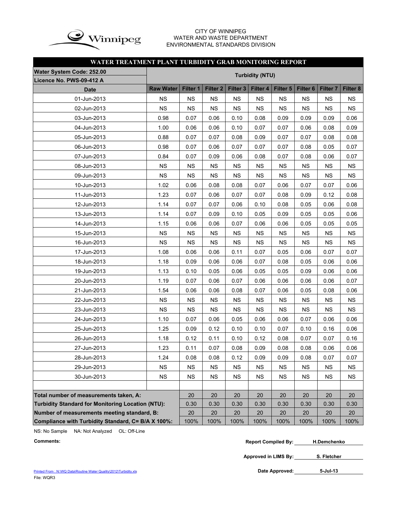

### CITY OF WINNIPEG WATER AND WASTE DEPARTMENT ENVIRONMENTAL STANDARDS DIVISION

### **WATER TREATMENT PLANT TURBIDITY GRAB MONITORING REPORT**

| <b>Water System Code: 252.00</b>                         |                  |           |                     |                     |                        |           |                     |                     |           |
|----------------------------------------------------------|------------------|-----------|---------------------|---------------------|------------------------|-----------|---------------------|---------------------|-----------|
| Licence No. PWS-09-412 A                                 |                  |           |                     |                     | <b>Turbidity (NTU)</b> |           |                     |                     |           |
| <b>Date</b>                                              | <b>Raw Water</b> | Filter 1  | Filter <sub>2</sub> | Filter <sub>3</sub> | Filter 4               | Filter 5  | Filter <sub>6</sub> | Filter <sub>7</sub> | Filter 8  |
| 01-Jun-2013                                              | <b>NS</b>        | <b>NS</b> | <b>NS</b>           | <b>NS</b>           | <b>NS</b>              | NS.       | <b>NS</b>           | <b>NS</b>           | <b>NS</b> |
| 02-Jun-2013                                              | <b>NS</b>        | <b>NS</b> | <b>NS</b>           | <b>NS</b>           | <b>NS</b>              | <b>NS</b> | <b>NS</b>           | <b>NS</b>           | <b>NS</b> |
| 03-Jun-2013                                              | 0.98             | 0.07      | 0.06                | 0.10                | 0.08                   | 0.09      | 0.09                | 0.09                | 0.06      |
| 04-Jun-2013                                              | 1.00             | 0.06      | 0.06                | 0.10                | 0.07                   | 0.07      | 0.06                | 0.08                | 0.09      |
| 05-Jun-2013                                              | 0.88             | 0.07      | 0.07                | 0.08                | 0.09                   | 0.07      | 0.07                | 0.08                | 0.08      |
| 06-Jun-2013                                              | 0.98             | 0.07      | 0.06                | 0.07                | 0.07                   | 0.07      | 0.08                | 0.05                | 0.07      |
| 07-Jun-2013                                              | 0.84             | 0.07      | 0.09                | 0.06                | 0.08                   | 0.07      | 0.08                | 0.06                | 0.07      |
| 08-Jun-2013                                              | <b>NS</b>        | <b>NS</b> | <b>NS</b>           | <b>NS</b>           | <b>NS</b>              | <b>NS</b> | <b>NS</b>           | <b>NS</b>           | <b>NS</b> |
| 09-Jun-2013                                              | <b>NS</b>        | <b>NS</b> | <b>NS</b>           | <b>NS</b>           | <b>NS</b>              | <b>NS</b> | <b>NS</b>           | <b>NS</b>           | <b>NS</b> |
| 10-Jun-2013                                              | 1.02             | 0.06      | 0.08                | 0.08                | 0.07                   | 0.06      | 0.07                | 0.07                | 0.06      |
| 11-Jun-2013                                              | 1.23             | 0.07      | 0.06                | 0.07                | 0.07                   | 0.08      | 0.09                | 0.12                | 0.08      |
| 12-Jun-2013                                              | 1.14             | 0.07      | 0.07                | 0.06                | 0.10                   | 0.08      | 0.05                | 0.06                | 0.08      |
| 13-Jun-2013                                              | 1.14             | 0.07      | 0.09                | 0.10                | 0.05                   | 0.09      | 0.05                | 0.05                | 0.06      |
| 14-Jun-2013                                              | 1.15             | 0.06      | 0.06                | 0.07                | 0.06                   | 0.06      | 0.05                | 0.05                | 0.05      |
| 15-Jun-2013                                              | <b>NS</b>        | <b>NS</b> | <b>NS</b>           | <b>NS</b>           | <b>NS</b>              | <b>NS</b> | <b>NS</b>           | <b>NS</b>           | <b>NS</b> |
| 16-Jun-2013                                              | <b>NS</b>        | <b>NS</b> | <b>NS</b>           | <b>NS</b>           | <b>NS</b>              | <b>NS</b> | <b>NS</b>           | <b>NS</b>           | <b>NS</b> |
| 17-Jun-2013                                              | 1.08             | 0.06      | 0.06                | 0.11                | 0.07                   | 0.05      | 0.06                | 0.07                | 0.07      |
| 18-Jun-2013                                              | 1.18             | 0.09      | 0.06                | 0.06                | 0.07                   | 0.08      | 0.05                | 0.06                | 0.06      |
| 19-Jun-2013                                              | 1.13             | 0.10      | 0.05                | 0.06                | 0.05                   | 0.05      | 0.09                | 0.06                | 0.06      |
| 20-Jun-2013                                              | 1.19             | 0.07      | 0.06                | 0.07                | 0.06                   | 0.06      | 0.06                | 0.06                | 0.07      |
| 21-Jun-2013                                              | 1.54             | 0.06      | 0.06                | 0.08                | 0.07                   | 0.06      | 0.05                | 0.08                | 0.06      |
| 22-Jun-2013                                              | <b>NS</b>        | <b>NS</b> | <b>NS</b>           | <b>NS</b>           | <b>NS</b>              | <b>NS</b> | <b>NS</b>           | <b>NS</b>           | <b>NS</b> |
| 23-Jun-2013                                              | <b>NS</b>        | <b>NS</b> | <b>NS</b>           | <b>NS</b>           | <b>NS</b>              | <b>NS</b> | <b>NS</b>           | <b>NS</b>           | <b>NS</b> |
| 24-Jun-2013                                              | 1.10             | 0.07      | 0.06                | 0.05                | 0.06                   | 0.06      | 0.07                | 0.06                | 0.06      |
| 25-Jun-2013                                              | 1.25             | 0.09      | 0.12                | 0.10                | 0.10                   | 0.07      | 0.10                | 0.16                | 0.06      |
| 26-Jun-2013                                              | 1.18             | 0.12      | 0.11                | 0.10                | 0.12                   | 0.08      | 0.07                | 0.07                | 0.16      |
| 27-Jun-2013                                              | 1.23             | 0.11      | 0.07                | 0.08                | 0.09                   | 0.08      | 0.08                | 0.06                | 0.06      |
| 28-Jun-2013                                              | 1.24             | 0.08      | 0.08                | 0.12                | 0.09                   | 0.09      | 0.08                | 0.07                | 0.07      |
| 29-Jun-2013                                              | <b>NS</b>        | <b>NS</b> | <b>NS</b>           | <b>NS</b>           | <b>NS</b>              | <b>NS</b> | <b>NS</b>           | NS.                 | ΝS        |
| 30-Jun-2013                                              | <b>NS</b>        | <b>NS</b> | <b>NS</b>           | <b>NS</b>           | <b>NS</b>              | <b>NS</b> | <b>NS</b>           | <b>NS</b>           | <b>NS</b> |
|                                                          |                  |           |                     |                     |                        |           |                     |                     |           |
| Total number of measurements taken, A:                   |                  | 20        | 20                  | 20                  | 20                     | 20        | 20                  | 20                  | 20        |
| <b>Turbidity Standard for Monitoring Location (NTU):</b> |                  | 0.30      | 0.30                | 0.30                | 0.30                   | 0.30      | 0.30                | 0.30                | 0.30      |
| Number of measurements meeting standard, B:              |                  | 20        | 20                  | 20                  | 20                     | 20        | 20                  | 20                  | 20        |
| Compliance with Turbidity Standard, C= B/A X 100%:       |                  | 100%      | 100%                | 100%                | 100%                   | 100%      | 100%                | 100%                | 100%      |

NS: No Sample NA: Not Analyzed OL: Off-Line

```
Comments: Report Compiled By:
H.Demchenko
```
**Approved in LIMS By: S. Fletcher**

**5-Jul-13**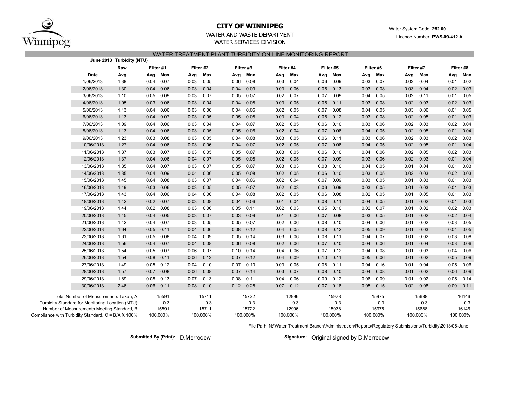

### **CITY OF WINNIPEG**

Water System Code: **252.00**

Licence Number: **PWS-09-412 A**

### WATER AND WASTE DEPARTMENTWATER SERVICES DIVISION

#### WATER TREATMENT PLANT TURBIDITY ON-LINE MONITORING REPORT

|                                                              |                                                   | June 2013 Turbidity (NTU) |           |          |       |           |      |           |      |           |      |           |      |           |      |           |      |           |
|--------------------------------------------------------------|---------------------------------------------------|---------------------------|-----------|----------|-------|-----------|------|-----------|------|-----------|------|-----------|------|-----------|------|-----------|------|-----------|
|                                                              |                                                   | Raw                       | Filter #1 |          |       | Filter #2 |      | Filter #3 |      | Filter #4 |      | Filter #5 |      | Filter #6 |      | Filter #7 |      | Filter #8 |
|                                                              | Date                                              | Avg                       | Avg       | Max      | Avg   | Max       | Avg  | Max       | Avg  | Max       | Avg  | Max       | Avg  | Max       | Avg  | Max       | Avg  | Max       |
|                                                              | 1/06/2013                                         | 1.38                      | 0.04      | 0.07     | 003   | 0.05      | 0.06 | 0.08      | 0.03 | 0.04      | 0.06 | 0.09      | 0.03 | 0.07      | 0.02 | 0.04      | 0.01 | 0.02      |
|                                                              | 2/06/2013                                         | 1.30                      | 0.04      | 0.06     | 003   | 0.04      | 0.04 | 0.09      | 0.03 | 0.06      | 0.06 | 0.13      | 0.03 | 0.08      | 0.03 | 0.04      | 0.02 | 0.03      |
|                                                              | 3/06/2013                                         | 1.10                      | 0.05      | 0.09     | 003   | 0.07      | 0.05 | 0.07      | 0.02 | 0.07      | 0.07 | 0.09      | 0.04 | 0.05      | 0.02 | 0.11      | 0.01 | 0.05      |
|                                                              | 4/06/2013                                         | 1.05                      | 0.03      | 0.06     | 003   | 0.04      | 0.04 | 0.08      | 0.03 | 0.05      | 0.06 | 0.11      | 0.03 | 0.08      | 0.02 | 0.03      | 0.02 | 0.03      |
|                                                              | 5/06/2013                                         | 1.13                      | 0.04      | 0.06     | 003   | 0.06      | 0.04 | 0.06      | 0.02 | 0.05      | 0.07 | 0.08      | 0.04 | 0.05      | 0.03 | 0.06      | 0.01 | 0.05      |
|                                                              | 6/06/2013                                         | 1.13                      | 0.04      | 0.07     | 003   | 0.05      | 0.05 | 0.08      | 0.03 | 0.04      | 0.06 | 0.12      | 0.03 | 0.08      | 0.02 | 0.05      | 0.01 | 0.03      |
|                                                              | 7/06/2013                                         | 1.09                      | 0.04      | 0.06     | 003   | 0.04      | 0.04 | 0.07      | 0.02 | 0.05      | 0.06 | 0.10      | 0.03 | 0.06      | 0.02 | 0.03      | 0.02 | 0.04      |
|                                                              | 8/06/2013                                         | 1.13                      | 0.04      | 0.06     | 003   | 0.05      | 0.05 | 0.06      | 0.02 | 0.04      | 0.07 | 0.08      | 0.04 | 0.05      | 0.02 | 0.05      | 0.01 | 0.04      |
|                                                              | 9/06/2013                                         | 1.23                      | 0.03      | 0.08     | 003   | 0.05      | 0.04 | 0.08      | 0.03 | 0.05      | 0.06 | 0.11      | 0.03 | 0.06      | 0.02 | 0.03      | 0.02 | 0.03      |
|                                                              | 10/06/2013                                        | 1.27                      | 0.04      | 0.06     | 003   | 0.06      | 0.04 | 0.07      | 0.02 | 0.05      | 0.07 | 0.08      | 0.04 | 0.05      | 0.02 | 0.05      | 0.01 | 0.04      |
|                                                              | 11/06/2013                                        | 1.37                      | 0.03      | 0.07     | 0 0 3 | 0.05      | 0.05 | 0.07      | 0.03 | 0.05      | 0.06 | 0.10      | 0.04 | 0.06      | 0.02 | 0.05      | 0.02 | 0.03      |
|                                                              | 12/06/2013                                        | 1.37                      | 0.04      | 0.06     | 004   | 0.07      | 0.05 | 0.08      | 0.02 | 0.05      | 0.07 | 0.09      | 0.03 | 0.06      | 0.02 | 0.03      | 0.01 | 0.04      |
|                                                              | 13/06/2013                                        | 1.35                      | 0.04      | 0.07     | 003   | 0.07      | 0.05 | 0.07      | 0.03 | 0.03      | 0.08 | 0.10      | 0.04 | 0.05      | 0.01 | 0.04      | 0.01 | 0.03      |
|                                                              | 14/06/2013                                        | 1.35                      | 0.04      | 0.09     | 004   | 0.06      | 0.05 | 0.08      | 0.02 | 0.05      | 0.06 | 0.10      | 0.03 | 0.05      | 0.02 | 0.03      | 0.02 | 0.03      |
|                                                              | 15/06/2013                                        | 1.45                      | 0.04      | 0.08     | 0 0 3 | 0.07      | 0.04 | 0.06      | 0.02 | 0.04      | 0.07 | 0.09      | 0.03 | 0.05      | 0.01 | 0.03      | 0.01 | 0.03      |
|                                                              | 16/06/2013                                        | 1.49                      | 0.03      | 0.06     | 003   | 0.05      | 0.05 | 0.07      | 0.02 | 0.03      | 0.06 | 0.09      | 0.03 | 0.05      | 0.01 | 0.03      | 0.01 | 0.03      |
|                                                              | 17/06/2013                                        | 1.43                      | 0.04      | 0.06     | 004   | 0.06      | 0.04 | 0.08      | 0.02 | 0.05      | 0.06 | 0.08      | 0.02 | 0.05      | 0.01 | 0.05      | 0.01 | 0.03      |
|                                                              | 18/06/2013                                        | 1.42                      | 0.02      | 0.07     | 003   | 0.08      | 0.04 | 0.06      | 0.01 | 0.04      | 0.08 | 0.11      | 0.04 | 0.05      | 0.01 | 0.02      | 0.01 | 0.03      |
|                                                              | 19/06/2013                                        | 1.44                      | 0.02      | 0.08     | 003   | 0.06      | 0.05 | 0.11      | 0.02 | 0.03      | 0.05 | 0.10      | 0.02 | 0.07      | 0.01 | 0.02      | 0.02 | 0.03      |
|                                                              | 20/06/2013                                        | 1.45                      | 0.04      | 0.05     | 003   | 0.07      | 0.03 | 0.09      | 0.01 | 0.06      | 0.07 | 0.08      | 0.03 | 0.05      | 0.01 | 0.02      | 0.02 | 0.04      |
|                                                              | 21/06/2013                                        | 1.42                      | 0.04      | 0.07     | 0 0 3 | 0.05      | 0.05 | 0.07      | 0.02 | 0.06      | 0.08 | 0.10      | 0.04 | 0.06      | 0.01 | 0.02      | 0.03 | 0.05      |
|                                                              | 22/06/2013                                        | 1.64                      | 0.05      | 0.11     | 004   | 0.06      | 0.08 | 0.12      | 0.04 | 0.05      | 0.08 | 0.12      | 0.05 | 0.09      | 0.01 | 0.03      | 0.04 | 0.05      |
|                                                              | 23/06/2013                                        | 1.61                      | 0.05      | 0.08     | 004   | 0.09      | 0.05 | 0.14      | 0.03 | 0.06      | 0.08 | 0.11      | 0.04 | 0.07      | 0.01 | 0.02      | 0.03 | 0.08      |
|                                                              | 24/06/2013                                        | 1.56                      | 0.04      | 0.07     | 004   | 0.08      | 0.06 | 0.08      | 0.02 | 0.06      | 0.07 | 0.10      | 0.04 | 0.06      | 0.01 | 0.04      | 0.03 | 0.06      |
|                                                              | 25/06/2013                                        | 1.54                      | 0.05      | 0.07     | 006   | 0.07      | 0.10 | 0.14      | 0.04 | 0.06      | 0.07 | 0.12      | 0.04 | 0.08      | 0.01 | 0.03      | 0.04 | 0.06      |
|                                                              | 26/06/2013                                        | 1.54                      | 0.08      | 0.11     | 006   | 0.12      | 0.07 | 0.12      | 0.04 | 0.09      | 0.10 | 0.11      | 0.05 | 0.06      | 0.01 | 0.02      | 0.05 | 0.09      |
|                                                              | 27/06/2013                                        | 1.49                      | 0.05      | 0.12     | 004   | 0.10      | 0.07 | 0.10      | 0.03 | 0.05      | 0.08 | 0.11      | 0.04 | 0.16      | 0.01 | 0.04      | 0.05 | 0.06      |
|                                                              | 28/06/2013                                        | 1.57                      | 0.07      | 0.08     | 006   | 0.08      | 0.07 | 0.14      | 0.03 | 0.07      | 0.08 | 0.10      | 0.04 | 0.08      | 0.01 | 0.02      | 0.06 | 0.09      |
|                                                              | 29/06/2013                                        | 1.89                      | 0.08      | 0.13     | 007   | 0.13      | 0.08 | 0.11      | 0.04 | 0.06      | 0.09 | 0.12      | 0.06 | 0.09      | 0.01 | 0.02      | 0.05 | 0.14      |
|                                                              | 30/06/2013                                        | 2.46                      | 0.06      | 0.11     | 008   | 0.10      | 0.12 | 0.25      | 0.07 | 0.12      | 0.07 | 0.18      | 0.05 | 0.15      | 0.02 | 0.08      | 0.09 | 0.11      |
|                                                              | Total Number of Measurements Taken, A:            |                           |           | 15591    |       | 15711     |      | 15722     |      | 12996     |      | 15978     |      | 15975     |      | 15688     |      | 16146     |
|                                                              | Turbidity Standard for Monitoring Location (NTU): |                           |           | 0.3      |       | 0.3       |      | 0.3       |      | 0.3       |      | 0.3       |      | 0.3       |      | 0.3       |      | 0.3       |
|                                                              | Number of Measurements Meeting Standard, B:       |                           |           | 15591    |       | 15711     |      | 15722     |      | 12996     |      | 15978     |      | 15975     |      | 15688     |      | 16146     |
| Compliance with Turbidity Standard, $C = B/A \times 100\%$ : |                                                   |                           |           | 100.000% |       | 100.000%  |      | 100.000%  |      | 100.000%  |      | 100.000%  |      | 100.000%  |      | 100.000%  |      | 100.000%  |

File Pa h: N:\Water Treatment Branch\Administration\Reports\Regulatory Submissions\Turbidity\2013\06-June

D.Merredew**Submitted By (Print): Signature:**

Signature: Original signed by D.Merredew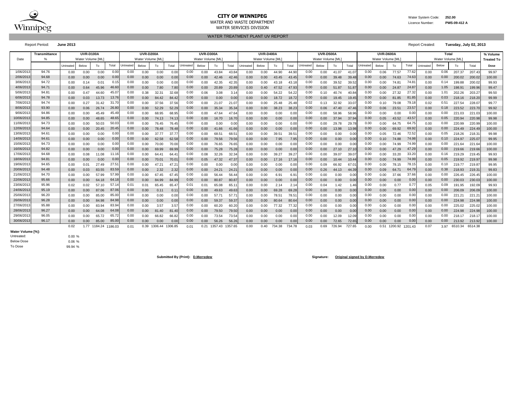

#### **CITY OF WINNIPEG** WATER MANUSCRIPED WATER System Code: 252.00 WATER AND WASTE DEPARTMENT Licence Number: **PWS-09-412 A**

WATER SERVICES DIVISION

WATER TREATMENT PLANT UV REPORT

Report Period: **June 2013** Report Created: **Tuesday, July 02, 2013**

|            | <b>Transmittance</b> |                                                                               | <b>UVR-D100A</b> |       |       |           | <b>UVR-D200A</b> |                 |       |           | <b>UVR-D300A</b>  |                 |       |           | <b>UVR-D400A</b> |        |        |           | <b>UVR-D500A</b> |        |        |                  | UVR-D600A         |              |         |           | Total            |         |         | % Volume          |
|------------|----------------------|-------------------------------------------------------------------------------|------------------|-------|-------|-----------|------------------|-----------------|-------|-----------|-------------------|-----------------|-------|-----------|------------------|--------|--------|-----------|------------------|--------|--------|------------------|-------------------|--------------|---------|-----------|------------------|---------|---------|-------------------|
| Date       | $\frac{9}{6}$        |                                                                               | Water Volume IML |       |       |           | Water Volume IML |                 |       |           | Water Volume [ML] |                 |       |           | Water Volume IML |        |        |           | Water Volume IML |        |        |                  | Water Volume [ML] |              |         |           | Water Volume IML |         |         | <b>Treated To</b> |
|            |                      | Untreated                                                                     | Below            | To    | Total | Untreated | Below            | To              | Total | Untreated | Below             | To              | Total | Untreated | Below            | To     | Total  | Untreated | Below            | To     | Total  | <b>Jntreated</b> | Below             | To           | Total   | Untreated | Below            | To      | Total   | Dose              |
| 1/06/2013  | 94.76                | 0.00                                                                          | 0.00             | 0.00  | 0.00  | 0.00      | 0.00             | 0.00            | 0.00  | 0.00      | 0.00              | 43.84           | 43.84 | 0.00      | 0.00             | 44.90  | 44.9   | 0.00      | 0.00             | 41.07  | 41.07  | 0.00             | 0.06              | 77.57        | 77.62   | 0.00      | 0.06             | 207.37  | 207.4   | 99.97             |
| 2/06/201   | 94.68                | 0.00                                                                          | 0.00             | 0.00  | 0.0   | 0.00      | 0.00             | 0.00            | 0.00  | 0.00      | 0.00              | 42.46           | 42.4  | 0.00      | 0.00             | 43.45  | 43.4   | 0.00      | 0.00             | 39.48  | 39.48  | 0.00             | 0.00              | 74.63        | 74.63   | 0.00      | 0.00             | 200.02  | 200.0   | 100.00            |
| 3/06/201   | 94.72                | 0.00                                                                          | 0.14             | 0.0   | 0.1   | 0.00      | 0.00             | 0.00            | 0.00  | 0.00      | 0.00              | 42.35           | 42.3  | 0.00      | 0.00             | 43.18  | 43.1   | 0.00      | 0.00             | 39.52  | 39.5   | 0.00             | 0.00              | 74.8         | 74.8    | 0.00      | 0.14             | 199.88  | 200.0   | 99.93             |
| 4/06/201   | 94.71                | 0.00                                                                          | 0.64             | 45.96 | 46.6  | 0.00      | 0.00             | 7.80            | 7.80  | 0.00      | 0.00              | 20.89           | 20.89 | 0.00      | 0.40             | 47.52  | 47.9   | 0.00      | 0.00             | 51.87  | 51.8   | 0.00             | 0.00              | 24.87        | 24.8    | 0.00      | 1.05             | 198.91  | 199.9   | 99.47             |
| 5/06/201   | 94.81                | 0.00                                                                          | 0.47             | 44.60 | 45.0  | 0.00      | 0.38             | 32.3'           | 32.68 | 0.00      | 0.06              | 3.08            | 3.14  | 0.00      | 0.00             | 54.22  | 54.2   | 0.00      | 0.10             | 40.74  | 40.84  | 0.00             | 0.00              | 27.32        | 27.32   | 0.00      | 1.01             | 202.26  | 203.2   | 99.50             |
| 6/06/2013  | 94.78                | 0.00                                                                          | 0.03             | 13.73 | 13.76 | 0.00      | 0.00             | 84.42           | 84.42 | 0.00      | 0.00              | 0.00            | 0.00  | 0.00      | 0.00             | 18.72  | 18.7   | 0.00      | 0.00             | 19.45  | 19.45  | 0.00             | 0.00              | 81.85        | 81.8    | 0.00      | 0.03             | 218.16  | 218.20  | 99.99             |
| 7/06/201   | 94.74                | 0.00                                                                          | 0.27             |       | 31.7  | 0.00      | 0.00             | 37.56           | 37.56 | 0.00      | 0.00              | 21.07           | 21.07 | 0.00      | 0.00             | 25.48  | 25.48  | 0.02      | 0.13             | 32.92  | 33.0   | 0.00             | 0.10              | 79.08        | 79.1    | 0.02      | 0.51             | 227.54  | 228.0   | 99.77             |
| 8/06/2013  | 93.90                | 0.00                                                                          | 0.06             | 26.74 | 26.8  | 0.00      | 0.00             | 52.29           | 52.29 | 0.00      | 0.00              | 35.34           | 35.34 | 0.00      | 0.00             | 38.23  | 38.2   | 0.00      | 0.06             | 47.40  | 47.46  | 0.00             | 0.06              | 23.51        | 23.5    | 0.00      | 0.18             | 223.52  | 223.70  | 99.92             |
| 9/06/201   | 94.86                | 0.00                                                                          | 0.00             | 45.49 | 45.4  | 0.00      | 0.00             | 68.95           | 68.95 | 0.00      | 0.00              | 47.64           | 47.6  | 0.00      | 0.00             | 0.00   | 0.0    | 0.00      | 0.00             | 58.96  | 58.96  | 0.00             | 0.00              | 0.00         | 0.00    | 0.00      | 0.00             | 221.03  | 221.0   | 100.00            |
| 10/06/201  | 94.85                | 0.00                                                                          | 0.00             | 48.65 | 48.6  | 0.00      | 0.00             | 74.13           | 74.1  | 0.00      | 0.00              | 16.70           | 16.7  | 0.00      | 0.00             | 0.00   | 0.00   | 0.00      | 0.00             | 37.94  | 37.9   | 0.00             | 0.05              | 43.52        | 43.5    | 0.00      | 0.05             | 220.94  | 220.98  | 99.98             |
| 11/06/201  | 94.73                | 0.00                                                                          | 0.00             | 50.03 | 50.0  | 0.00      | 0.00             | 76.45           | 76.45 | 0.00      | 0.00              | 0.00            | 0.00  | 0.00      | 0.00             | 0.00   | 0.0    | 0.00      | 0.00             | 29.78  | 29.7   | 0.00             | 0.00              | 64.75        | 64.7    | 0.00      | 0.00             | 220.99  | 220.99  | 100.00            |
| 12/06/2013 | 94.64                | 0.00                                                                          | 0.00             | 20.45 | 20.4  | 0.00      | 0.00             | 78.48           | 78.48 | 0.00      | 0.00              | 41.66           | 41.6  | 0.00      | 0.00             | 0.00   | 0.0    | 0.00      | 0.00             | 13.98  | 13.98  | 0.00             | 0.00              | 69.92        | 69.92   | 0.00      | 0.00             | 224.49  | 224.4   | 100.00            |
| 13/06/201  | 94.61                | 0.00                                                                          | 0.00             | 0.00  | 0.0   | 0.00      | 0.00             | 37.77           | 37.7  | 0.00      | 0.00              | 68.5            | 68.5  | 0.00      | 0.00             | 39.5'  | 39.5   | 0.00      | 0.00             | 0.00   | 0.00   | 0.00             | 0.05              | 72.46        | 72.52   | 0.00      | 0.05             | 218.26  | 218.3   | 99.98             |
| 14/06/2013 | 94.61                | 0.00                                                                          | 0.00             | 0.00  | 0.0   | 0.00      | 0.00             | 62.58           | 62.5  | 0.00      | 0.00              | 79.56           | 79.5  | 0.00      | 0.00             | 7.95   | 7.95   | 0.00      | 0.00             | 0.00   | 0.00   | 0.00             | 0.10              | 74.88        | 74.98   | 0.00      | 0.10             | 224.97  | 225.0   | 99.95             |
| 15/06/201  | 94.73                | 0.00                                                                          | 0.00             | 0.00  | 0.00  | 0.00      | 0.00             | 70.00           | 70.00 | 0.00      | 0.00              | 76.65           | 76.6  | 0.00      | 0.00             | 0.00   | 0.0    | 0.00      | 0.00             | 0.00   | 0.00   | 0.00             | 0.00              | 74.99        | 74.99   | 0.00      | 0.00             | 221.64  | 221.64  | 100.00            |
| 16/06/2013 | 94.82                | 0.00                                                                          | 0.00             | 0.00  | 0.00  | 0.00      | 0.00             | 69.99           | 69.99 | 0.00      | 0.00              | 75.28           | 75.28 | 0.00      | 0.00             | 0.00   | 0.0    | 0.00      | 0.00             | 27.10  | 27.1   | 0.00             | 0.00              | 47.29        | 47.29   | 0.00      | 0.00             | 219.66  | 219.66  | 100.00            |
| 17/06/201  | 94.68                | 0.00                                                                          | 0.08             | 11.08 | 11.16 | 0.00      | 0.00             | 64.             | 64.4  | 0.00      | 0.08              | 32.26           | 32.34 | 0.00      | 0.00             | 39.27  | 39.2   | 0.00      | 0.00             | 39.07  | 39.0   | 0.00             | 0.00              | 33.20        | 33.20   | 0.00      | 0.16             | 219.29  | 219.4   | 99.93             |
| 18/06/201  | 94.81                | 0.00                                                                          | 0.00             | 0.00  | 0.0   | 0.00      | 0.00             | 70.01           | 70.0  | 0.00      | 0.05              | 47.32           | 47.37 | 0.00      | 0.00             | 17.16  | 17.1   | 0.00      | 0.00             | 10.44  | 10.4   | 0.00             | 0.00              | 74.99        | 74.99   | 0.00      | 0.05             | 219.92  | 219.9   | 99.98             |
| 19/06/201  | 94.65                | 0.00                                                                          | 0.01             | 27.49 |       | 0.00      | 0.00             | 47.21           | 47.2  | 0.00      | 0.00              | 0.00            | 0.00  | 0.00      | 0.00             | 0.00   | 0.0    | 0.00      | 0.09             | 66.92  | 67.0   | 0.00             | 0.00              | 78.15        | 78.1    | 0.00      | 0.10             | 219.77  | 219.8   | 99.95             |
| 20/06/201  | 94.48                | 0.00                                                                          | 0.03             | 83.55 | 83.59 | 0.00      | 0.00             | 2.32            | 2.32  | 0.00      | 0.00              | 24.21           | 24.2  | 0.00      | 0.00             | 0.00   | 0.00   | 0.00      | 0.26             | 44.13  | 44.39  | 0.00             | 0.09              | 64.7         | 64.7    | 0.00      | 0.38             | 218.93  | 219.3   | 99.83             |
| 21/06/201  | 94.70                | 0.00                                                                          | 0.00             | 57.99 | 57.9  | 0.00      | 0.00             | 67.45           | 67.4  | 0.00      | 0.00              | 56.44           | 56.4  | 0.00      | 0.00             | 6.91   | 6.9    | 0.00      | 0.00             | 0.00   | 0.00   | 0.00             | 0.00              | 37.66        | 37.6    | 0.00      | 0.00             | 226.45  | 226.4   | 100.00            |
| 22/06/201  | 95.66                | 0.00                                                                          | 0.00             | 64.18 | 64.1  | 0.00      | 0.00             | 84.99           | 84.9  | 0.00      | 0.00              | 80.87           | 80.8  | 0.00      | 0.00             | 0.00   | 0.0    | 0.00      | 0.00             | 0.00   | 0.00   | 0.00             | 0.00              | 0.00         | 0.00    | 0.00      | 0.00             | 230.03  | 230.0   | 100.00            |
| 23/06/201  | 95.96                | 0.02                                                                          | 0.02             | 57.10 | 57.   | 0.01      | 0.01             | 65.45           | 65.4  | 0.01      | 0.01              | 65.08           | 65.   | 0.00      | 0.00             | 2.14   | 2.1    | 0.00      | 0.04             | 1.42   | 1.46   | 0.00             | 0.00              | 0.77         | 0.77    | 0.05      | 0.09             | 191.95  | 192.0   | 99.93             |
| 24/06/201  | 95.19                | 0.00                                                                          | 0.00             | 87.06 | 87.0  | 0.00      | 0.00             | 0.11            | 0.1   | 0.00      | 0.00              | 49.63           | 49.6  | 0.00      | 0.00             | 69.28  | 69.2   | 0.00      | 0.00             | 0.00   | 0.00   | 0.00             | 0.00              | 0.00         | 0.00    | 0.00      | 0.00             | 206.09  | 206.0   | 100.00            |
| 25/06/201  | 96.20                | 0.00                                                                          | 0.00             | 85.00 | 85.0  | 0.00      | 0.00             | 0.00            | 0.00  | 0.00      | 0.00              | 57.71           | 57.7  | 0.00      | 0.00             | 78.5   | 78.5   | 0.00      | 0.00             | 0.00   | 0.00   | 0.00             | 0.00              | 0.00         | 0.00    | 0.00      | 0.00             | 221.21  | 221.2   | 100.00            |
| 26/06/2013 | 96.28                | 0.00                                                                          | 0.00             | 84.98 | 84.98 | 0.00      | 0.00             | 0.00            | 0.00  | 0.00      | 0.00              | 59.37           | 59.37 | 0.00      | 0.00             | 80.64  | 80.6   | 0.00      | 0.00             | 0.00   | 0.00   | 0.00             | 0.00              | 0.00         | 0.00    | 0.00      | 0.00             | 224.98  | 224.98  | 100.00            |
| 27/06/201  | 95.88                | 0.00                                                                          | 0.00             | 83.94 | 83.9  | 0.00      | 0.00             | 3.57            | 3.57  | 0.00      | 0.00              | 60.20           | 60.2  | 0.00      | 0.00             | 77.32  | 77.3   | 0.00      | 0.00             | 0.00   | 0.00   | 0.00             | 0.00              | 0.00         | 0.00    | 0.00      | 0.00             | 225.02  | 225.0   | 100.00            |
| 28/06/201  | 96.27                | 0.00                                                                          | 0.00             | 64.08 | 64.0  | 0.00      | 0.00             | 81.40           | 81.4  | 0.00      | 0.00              | 79.50           | 79.5  | 0.00      | 0.00             | 0.00   | 0.00   | 0.00      | 0.00             | 0.00   | 0.00   | 0.00             | 0.00              | 0.00         | 0.00    | 0.00      | 0.00             | 224.98  | 224.9   | 100.00            |
| 29/06/201  | 96.05                | 0.00<br>65.7<br>0.00<br>0.00<br>0.00<br>85.00<br>0.02<br>1.77 1184.24 1186.03 |                  |       | 65.7  | 0.00      | 0.00             | 66.82           | 66.82 | 0.00      | 0.00              | 73.54           | 73.54 | 0.00      | 0.00             | 0.00   | 0.0    | 0.00      | 0.00             | 12.09  | 12.09  | 0.00             | 0.00              | 0.00         | 0.00    | 0.00      | 0.00             | 218.17  | 218.1   | 100.00            |
| 30/06/2013 | 96.17                |                                                                               |                  |       | 85.0  | 0.00      | 0.00             | 0.00            | 0.00  | 0.00      | 0.00              | 56.26           | 56.26 | 0.00      | 0.00             | 0.00   | 0.0    | 0.00      | 0.00             | 72.65  | 72.65  | 0.00             | 0.00              | 0.00         | 0.0     | 0.00      | 0.00             | 213.92  | 213.92  | 100.00            |
|            |                      |                                                                               |                  |       |       | 0.01      | 0.39             | 1306.44 1306.85 |       | 0.01      | 0.21              | 1357.43 1357.65 |       | 0.00      | 0.40             | 734.38 | 734.78 | 0.03      | 0.69             | 726.94 | 727.65 | 0.00             |                   | 0.51 1200.92 | 1201.43 | 0.07      | 3.97             | 6510.34 | 6514.38 |                   |

**Water Volume [%]:** Untreated: Below Dose To Dose

0.00 % 0.06 % 99.94 %

**Submitted By (Print): D.Merredew Signature: Original signed by D.Merredew**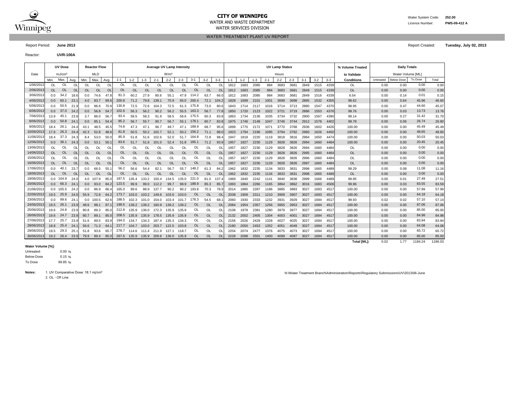

#### **CITY OF WINNIPEG** WATER MANUSCRIPT WATER System Code: 252.00 WATER AND WASTE DEPARTMENT Licence Number: **PWS-09-412 A** WATER SERVICES DIVISION

WATER TREATMENT PLANT UV REPORT

Report Period: **June 2013** Report Created: **Tuesday, July 02, 2013**

Reactor: **UVR-100A**

|            |           | <b>UV Dose</b>     |                |           | <b>Reactor Flow</b> |           |           |               |           | <b>Average UV Lamp Intensity</b> |                  |           |           |           |                |         |         |         |         | <b>UV Lamp Status</b> |         |         |         |       | % Volume Treated   |           | <b>Daily Totals</b> |         |         |
|------------|-----------|--------------------|----------------|-----------|---------------------|-----------|-----------|---------------|-----------|----------------------------------|------------------|-----------|-----------|-----------|----------------|---------|---------|---------|---------|-----------------------|---------|---------|---------|-------|--------------------|-----------|---------------------|---------|---------|
| Date       |           | mJ/cm <sup>2</sup> |                |           | <b>MLD</b>          |           |           |               |           |                                  | W/m <sup>2</sup> |           |           |           |                |         |         |         |         | Hours                 |         |         |         |       | to Validate        |           | Water Volume [ML]   |         |         |
|            | Min.      | Max.               | Avg.           | Min.      | Max.                | Avg.      | $1 - 1$   | $1 - 2$       | $1 - 3$   | $2 - 1$                          | $2 - 2$          | $2 - 3$   | $3 - 1$   | $3 - 2$   | $3 - 3$        | $1 - 1$ | $1 - 2$ | $1 - 3$ | $2 - 1$ | $2 - 2$               | $2 - 3$ | $3 - 1$ | $3 - 2$ | $3-3$ | <b>Conditions</b>  | Untreated | <b>Below Dose</b>   | To Dose | Total   |
| 1/06/2013  | <b>OL</b> | <b>OL</b>          | OL             | OL        | OL                  | OL        | <b>OL</b> | <b>OL</b>     | <b>OL</b> | OL                               | <b>OL</b>        | OL        | <b>OL</b> | OL        | $\Omega$       | 1812    | 1683    | 2085    | 984     | 3683                  | 3681    | 2849    | 1515    | 4339  | <b>OL</b>          | 0.00      | 0.00                | 0.00    | 0.00    |
| 2/06/2013  | <b>OL</b> | <b>OL</b>          | $\Omega$       | <b>OL</b> | <b>OL</b>           | <b>OL</b> | <b>OL</b> | $\Omega$      | <b>OL</b> | <b>OL</b>                        | <b>OL</b>        | <b>OL</b> | <b>OL</b> | <b>OL</b> | <b>OL</b>      | 1812    | 1683    | 2085    | 984     | 3683                  | 3681    | 2849    | 1515    | 4339  | <b>OL</b>          | 0.00      | 0.00                | 0.00    | 0.00    |
| 3/06/2013  | 0.0       | 34.2               | 18.6           | 0.0       | 74.6                | 47.8      | 81.3      | 60.2          | 27.9      | 80.6                             | 55.1             | 47.9      | 114.2     | 63.7      | 66.            | 1812    | 1683    | 2085    | 984     | 3683                  | 3681    | 2849    | 1516    | 4339  | 6.54               | 0.00      | 0.14                | 0.01    | 0.15    |
| 4/06/2013  | 0.0       | 60.1               | 23.            | 4.0       | 83.7                | 69.6      | 200.8     | 71.2          | 79.8      | 139.1                            | 70.9             | 65.0      | 200.4     | 72.1      | 104.3          | 1828    | 1699    | 2101    | 1001    | 3699                  | 3698    | 2865    | 1532    | 4355  | 98.62              | 0.00      | 0.64                | 45.96   | 46.60   |
| 5/06/201   | 0.0       | 50.5               | 21.5           | 0.0       | 86.6                | 70.9      | 130.8     | 72.5          | 72.6      | 104.3                            | 72.5             | 61.3      | 175.8     | 73.0      | 80.            | 1843    | 1714    | 2117    | 1016    | 3714                  | 3713    | 2880    | 1547    | 4370  | 98.95              | 0.00      | 0.47                | 44.60   | 45.07   |
| 6/06/2013  | 0.0       | 37.0               | 24.2           | 0.0       | 56.8                | 54.7      | 102.6     | 56.3          | 56.2      | 90.2                             | 56.2             | 55.5      | 163.3     | 56.7      | 77.8           | 1850    | 1720    | 2123    | 1022    | 3721                  | 3719    | 2886    | 1553    | 4376  | 99.76              | 0.00      | 0.03                | 13.73   | 13.76   |
| 7/06/2013  | 13.9      | 45.                | 23.8           | 3.7       | 86.0                | 56.       | 93.4      | 58.5          | 58.3      | 91.9                             | 58.5             | 56.6      | 175.5     | 60.3      | 83.            | 1863    | 1734    | 2136    | 1035    | 3734                  | 3732    | 2900    | 1567    | 4390  | 99.14              | 0.00      | 0.27                | 31.42   | 31.70   |
| 8/06/2013  | 0.0       | 50.8               | 24.1           | 0.0       | 85.1                | 54.4      | 85.2      | 56.7          | 55.7      | 90.7                             | 56.7             | 55.1      | 178.1     | 60.7      | 83.            | 1875    | 1746    | 2148    | 1047    | 3746                  | 3744    | 2912    | 1578    | 4402  | 99.78              | 0.00      | 0.06                | 26.74   | 26.80   |
| 9/06/2013  | 18.4      | 26.                | 24.4           | 43.1      | 48.5                | 45.5      | 74.8      | 47.3          | 47.1      | 96.7                             | 49.7             | 47.1      | 189.9     | 68.7      | 95.            | 1899    | 1770    | 2172    | 107'    | 3770                  | 3768    | 2936    | 1602    | 4426  | 100.00             | 0.00      | 0.00                | 45.49   | 45.49   |
| 10/06/2013 | 17.6      | 26.3               | 24.4           | 42.3      | 52.8                | 48.6      | 81.8      | 50.5          | 50.2      | 102.7                            | 52.1             | 50.2      | 156.2     | 71.1      | 98.            | 1923    | 1794    | 2196    | 1095    | 3794                  | 3792    | 2960    | 1626    | 4450  | 100.00             | 0.00      | 0.00                | 48.65   | 48.65   |
| 11/06/2013 | 18.4      | 37.3               | 24.3           | 8.4       | 53.0                | 50.       | 85.9      | 51.8          | 51.6      | 102.6                            | 52.0             | 51.7      | 164.8     | 72.8      | 98.            | 1947    | 1818    | 2220    | 1119    | 3818                  | 3816    | 2984    | 1650    | 4474  | 100.00             | 0.00      | 0.00                | 50.03   | 50.03   |
| 12/06/2013 | 0.0       | 36.1               | 24.3           | 0.0       | 53.1                | 50.       | 83.6      | 51.7          | 51.6      | 101.0                            | 52.4             | 51.8      | 165.1     | 71.2      | 93.            | 1957    | 1827    | 2230    | 1129    | 3828                  | 3826    | 2994    | 1660    | 4484  | 100.00             | 0.00      | 0.00                | 20.45   | 20.45   |
| 13/06/2013 | OL        | OL                 | <b>Ol</b>      | OL        | OL                  | O         | OL        | <sup>OL</sup> | OL        | OL                               | OL               | $\Omega$  | OL        | OL        | O              | 1957    | 1827    | 2230    | 1129    | 3828                  | 3826    | 2994    | 1660    | 4484  | OL                 | 0.00      | 0.00                | 0.00    | 0.00    |
| 14/06/2013 | <b>OL</b> | <b>OL</b>          | <b>Ol</b>      | <b>OL</b> | <b>OL</b>           | OL        | <b>OL</b> | <b>OL</b>     | <b>OL</b> | <b>OL</b>                        | <b>OL</b>        | OL        | <b>OL</b> | <b>OL</b> | <b>OL</b>      | 1957    | 1827    | 2230    | 1129    | 3828                  | 3826    | 2995    | 1660    | 4484  | <b>OL</b>          | 0.00      | 0.00                | 0.00    | 0.00    |
| 15/06/2013 | OL        | OL                 | O              | <b>OL</b> | OL                  | Ol        | OL        | <b>OL</b>     | OL        | OL                               | <b>OL</b>        | OL        | OL        | OL        | O              | 1957    | 1827    | 2230    | 1129    | 3828                  | 3826    | 2996    | 1660    | 4484  | OL                 | 0.00      | 0.00                | 0.00    | 0.00    |
| 16/06/2013 | OL        | <b>OL</b>          | O <sub>l</sub> | <b>OL</b> | <b>OL</b>           | <b>OL</b> | <b>OL</b> | $\Omega$      | OL        | <b>OL</b>                        | <b>OL</b>        | OL        | <b>OL</b> | $\Omega$  | <b>OL</b>      | 1957    | 1827    | 2230    | 1129    | 3828                  | 3826    | 2997    | 1660    | 4484  | <b>OL</b>          | 0.00      | 0.00                | 0.00    | 0.00    |
| 17/06/2013 | 0.0       | 40.                | 23.7           | 0.0       | 66.5                | 55.7      | 56.2      | 56.6          | 54.4      | 82.1                             | 56.7             | 55.7      | 148.2     | 61.3      | 84.2           | 1962    | 1832    | 2235    | 1134    | 3833                  | 3831    | 2998    | 1665    | 4489  | 99.29              | 0.00      | 0.08                | 11.08   | 11.16   |
| 18/06/2013 | OL        | <b>OL</b>          | <sup>Ol</sup>  | OL        | <b>OL</b>           | <b>OL</b> | <b>OL</b> | $\Omega$      | <b>OL</b> | <b>OL</b>                        | <b>OL</b>        | <b>OL</b> | <b>OL</b> | <b>OL</b> | $\overline{O}$ | 1962    | 1832    | 2235    | 1134    | 3833                  | 3831    | 2998    | 1665    | 4489  | <b>OL</b>          | 0.00      | 0.00                | 0.00    | 0.00    |
| 19/06/201  | 0.0       | 104.9              | 24.0           | 4.0       | 107.9               | 85.       | 187.5     | 135.4         | 133.2     | 150.4                            | 134.5            | 135.0     | 221.0     | 81.0      | 137.           | 1969    | 1840    | 2242    | 1141    | 3840                  | 3838    | 2999    | 1666    | 4489  | 99.95              | 0.00      | 0.01                | 27.49   | 27.51   |
| 20/06/2013 | 0.0       | 66.3               | 24.            | 0.0       | 93.0                | 84.2      | 123.5     | 99.9          | 99.0      | 112.2                            | 99.7             | 99.9      | 188.9     | 85.3      | 85.            | 1993    | 1864    | 2266    | 1165    | 3864                  | 3862    | 3016    | 1683    | 4506  | 99.96              | 0.00      | 0.03                | 83.55   | 83.59   |
| 21/06/2013 | 0.0       | 105.5              | 24.2           | 0.0       | 86.9                | 66.4      | 165.0     | 89.6          | 88.9      | 137.7                            | 90.2             | 90.2      | 193.8     | 70.3      | 78.            | 2014    | 1885    | 2287    | 1186    | 3885                  | 3883    | 3027    | 1693    | 4517  | 100.00             | 0.00      | 0.00                | 57.99   | 57.99   |
| 22/06/2013 | 19.5      | 25.9               | 24.0           | 55.9      | 72.8                | 64.2      | 173.7     | 103.0         | 103.2     | 149.6                            | 103.0            | 103.0     | OL.       | <b>OL</b> | <b>OL</b>      | 2038    | 1909    | 2311    | 1210    | 3909                  | 3907    | 3027    | 1693    | 4517  | 100.00             | 0.00      | 0.00                | 64.18   | 64.18   |
| 23/06/2013 | 0.0       | 99.6               | 24.7           | 0.0       | 100.5               | 62.6      | 188.5     | 102.3         | 101.0     | 154.0                            | 103.4            | 101.7     | 178.3     | 54.5      | 68.            | 2060    | 1930    | 2333    | 1232    | 3931                  | 3929    | 3027    | 1694    | 4517  | 99.93              | 0.02      | 0.02                | 57.10   | 57.14   |
| 24/06/2013 | 19.5      | 26.1               | 23.9           | 48.6      | 98.1                | 87.1      | 199.5     | 139.2         | 139.2     | 160.9                            | 139.2            | 139.2     | <b>OL</b> | <b>OL</b> | <b>OL</b>      | 2084    | 1954    | 2357    | 1256    | 3955                  | 3953    | 3027    | 1694    | 4517  | 100.00             | 0.00      | 0.00                | 87.06   | 87.06   |
| 25/06/2013 | 19.6      | 24.8               | 23.9           | 80.8      | 89.3                | 85.       | 212.8     | 135.9         | 136.0     | 172.3                            | 135.9            | 135.9     | OL        | OL        | O              | 2108    | 1978    | 2381    | 1280    | 3979                  | 3977    | 3027    | 1694    | 4517  | 100.00             | 0.00      | 0.00                | 85.00   | 85.00   |
| 26/06/2013 | 19.6      | 24.7               | 23.9           | 80.7      | 89.1                | 85.0      | 208.5     | 135.9         | 135.9     | 178.5                            | 135.9            | 135.9     | <b>OL</b> | <b>OL</b> | $\Omega$       | 2132    | 2002    | 2405    | 1304    | 4003                  | 4001    | 3027    | 1694    | 4517  | 100.00             | 0.00      | 0.00                | 84.98   | 84.98   |
| 27/06/2013 | 17.7      | 25.7               | 23.5           | 51.6      | 89.5                | 83.       | 194.0     | 134.7         | 134.3     | 187.4                            | 135.3            | 134.3     | OL        | OL        | O              | 2156    | 2026    | 2429    | 1328    | 4027                  | 4025    | 3027    | 1694    | 4517  | 100.00             | 0.00      | 0.00                | 83.94   | 83.94   |
| 28/06/2013 | 18.8      | 25.4               | 24.7           | 56.6      | 71.3                | 64.       | 217.7     | 104.7         | 103.0     | 203.7                            | 122.5            | 103.8     | <b>OL</b> | <b>OL</b> | OL             | 2180    | 2050    | 2453    | 1352    | 4051                  | 4049    | 3027    | 1694    | 4517  | 100.00             | 0.00      | 0.00                | 64.08   | 64.08   |
| 29/06/2013 | 19.5      | 29.3               | 25.7           | 51.8      | 93.6                | 65.7      | 278.7     | 114.6         | 111.4     | 211.9                            | 127.1            | 118.7     | OL        | OL        | OL             | 2204    | 2074    | 2477    | 1376    | 4075                  | 4073    | 3027    | 1694    | 4517  | 100.00             | 0.00      | 0.00                | 65.72   | 65.72   |
| 30/06/2013 | 19.2      | 26.4               | 23.9           | 79.9      | 89.4                | 85.0      | 267.6     | 135.9         | 135.9     | 209.6                            | 136.0            | 135.9     | OL        | <b>OL</b> | <b>OL</b>      | 2228    | 2098    | 2501    | 1400    | 4099                  | 4097    | 3027    | 1694    | 4517  | 100.00             | 0.00      | 0.00                | 85.00   | 85.00   |
|            |           |                    |                |           |                     |           |           |               |           |                                  |                  |           |           |           |                |         |         |         |         |                       |         |         |         |       | <b>Total [ML]:</b> | 0.02      | 1.77                | 1184.24 | 1186.03 |

#### **Water Volume [%]:**

0.00 %  $0.15 \%$ 99.85 % Untreated: Below Dose To Dose

2. OL - Off Line Notes: 1. UV Comparative Dose: 18.1 mj/cm<sup>2</sup> N:\Water Treatment Branch\Administration\Reports\Regulatory Submissions\UV\2013\06-June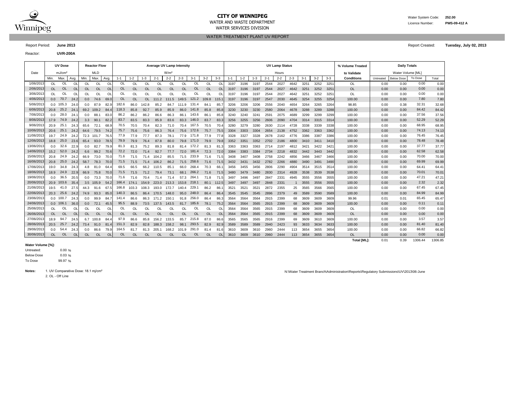

# **CITY OF WINNIPEG** WATER MANUSCRIPT WATER System Code: 252.00

WATER SERVICES DIVISION

WATER TREATMENT PLANT UV REPORT

Reactor: **UVR-200A**

| <b>UVR-200A</b>    |           |           |                     |      |           |           |               |                                  |                  |         |              |                |       |      |                            |         |         |                       |                    |         |         |         |                   |           |                     |      |
|--------------------|-----------|-----------|---------------------|------|-----------|-----------|---------------|----------------------------------|------------------|---------|--------------|----------------|-------|------|----------------------------|---------|---------|-----------------------|--------------------|---------|---------|---------|-------------------|-----------|---------------------|------|
| UV Dose            |           |           | <b>Reactor Flow</b> |      |           |           |               | <b>Average UV Lamp Intensity</b> |                  |         |              |                |       |      |                            |         |         | <b>UV Lamp Status</b> |                    |         |         |         | % Volume Treated  |           | <b>Daily Totals</b> |      |
| mJ/cm <sup>2</sup> |           |           | MLD                 |      |           |           |               |                                  | W/m <sup>2</sup> |         |              |                |       |      |                            |         |         | Hours                 |                    |         |         |         | to Validate       |           | Water Volume [      |      |
| Max.               | Avg.      | Min.      | Max.                | Avg. | $1 - 1$   | $1 - 2$   | $1 - 3$       | $2 - 1$                          | $2 - 2$          | $2 - 3$ | $3-1$        | $3 - 2$        | $3-3$ |      | 1-2                        | $1 - 3$ | $2 - 1$ | $2 - 2$               | $2 - 3$            | $3 - 1$ | $3 - 2$ | $3 - 3$ | <b>Conditions</b> | Untreated | <b>Below Dose</b>   | To I |
| <b>OL</b>          | Ol        | OL        | OL.                 | Ol   | OL.       | <b>OL</b> | OI.           |                                  | ОL               | ΩI      | OL           | OL             | ΩL    | 3197 | 3196                       | 3197    | 2544    | 2027                  | 4642               | 325'    | 3252    | 3251    | -OL               | 0.00      | 0.00                |      |
| <b>OL</b>          | <b>OL</b> | <b>OL</b> | OL                  | OL   | <b>OL</b> | <b>OL</b> | <b>OL</b>     | <b>OL</b>                        | OL               | OL      | OL           | <b>OL</b>      | OL    | 3197 | 3196                       | 3197    | 2544    | 2027                  | 4642               | 3251    | 3252    | 3251    | <b>OL</b>         | 0.00      | 0.00                |      |
| OL                 | Ol        | <b>OL</b> | <b>OL</b>           | OL   | OL.       | OL.       | <sup>OL</sup> | ΩI                               | OL.              | OL      | OL           | OL             | ΩL    | 3197 | 3196                       | 3197    | 2544    | 2027                  | 4642               | 325'    | 3252    | 3251    | OL                | 0.00      | 0.00                |      |
| 70.7               | 24.2      | 0.0       | 74.6                | 69.0 | <b>OL</b> | <b>OL</b> | OL            | 111.2                            | 111.5            | 149.5   | 121.2        | 109.8          | 115.1 | 3197 | 3196                       | 3197    | 2547    | 2030                  | 4645               | 3254    | 3255    | 3254    | 100.00            | 0.00      | 0.00                |      |
| 105.3              | 24.0      | 0.0       | 87.9                | 82.9 | 182.6     | 86.0      | 142.8         | 85.2                             | 84.7             | 1119    | 131.4        | 84.1           | 85.7  | 3206 | 3206                       | 3206    | 2556    | 2040                  | 4654               | 3264    | 3265    | 3264    | 98.85             | 0.00      | 0.38                |      |
| 25.2               | 24.1      | 69.2      | 109.2               | 84.4 | 118.3     | 85.8      | 92.7          | 85.9                             | 85.9             | 86.0    | 141.8        | 85.8           | 85.8  | 3230 | 3230                       | 3230    | 2580    | 2064                  | 4678               | 3288    | 3289    | 3288    | 100.00            | 0.00      | 0.00                |      |
| 28.0               | 24.1      | 0.0       | 88.7                | 83.0 | 86.2      | 86.2      | 86.2          | 86.6                             | 86.3             | 86.1    | 143.6        | 86.1           | 85.8  | 3240 | 3240                       | 3241    | 2591    | 2075                  | 4689               | 3299    | 3299    | 3299    | 100.00            | 0.00      | 0.00                |      |
| <b>74 0</b>        | 0.10      |           | 0.0001              | 000  | 027       | 00F       | 000           | $\theta$ $\theta$                | 0 <sub>0</sub>   |         | $000 - 1160$ | 0 <sup>0</sup> | 000   | 0000 | $\bigcap_{n\in\mathbb{N}}$ | $\sim$  | 0.000   | 0.000                 | $\sqrt{1-\lambda}$ | 0.011   | 0.015   | 0.011   | 100.00            | 0.00      | 0.00                |      |

Report Period: **June 2013** Report Created: **Tuesday, July 02, 2013**

┑

|            |           | uv pose       | <b>Reactor Flow</b><br>Average UV Lamp Intensity |                                                                                                       |               |           |               |                   |           |             |           |             |           |               |               |         |         | <b>UV Lamp Status</b> |         |         |         |         | % Volume Treated |         | Dally Totals       |           |                   |         |         |
|------------|-----------|---------------|--------------------------------------------------|-------------------------------------------------------------------------------------------------------|---------------|-----------|---------------|-------------------|-----------|-------------|-----------|-------------|-----------|---------------|---------------|---------|---------|-----------------------|---------|---------|---------|---------|------------------|---------|--------------------|-----------|-------------------|---------|---------|
| Date       |           | $m$ . $I/cm2$ | <b>MLD</b><br>W/m <sup>2</sup>                   |                                                                                                       |               |           |               |                   |           |             |           |             |           |               |               |         |         | Hours                 |         |         |         |         | to Validate      |         | Water Volume [ML]  |           |                   |         |         |
|            | Min.      | Max.          | Avg.                                             | Min.                                                                                                  | Max.          | Avg.      | $1 - 1$       | $1 - 2$           | $1 - 3$   | $2 - 1$     | $2 - 2$   | $2 - 3$     | $3-1$     | $3-2$         | $3 - 3$       | $1 - 1$ | $1 - 2$ | $1 - 3$               | $2 - 1$ | $2 - 2$ | $2 - 3$ | $3 - 1$ | $3 - 2$          | $3 - 3$ | <b>Conditions</b>  | Untreated | <b>Below Dose</b> | To Dose | Total   |
| 1/06/2013  | OL.       | OL            | <sup>OL</sup>                                    | OL<br><b>OL</b><br>OL<br><b>OL</b><br>$\Omega$<br>$\Omega$<br>OL<br><b>OL</b><br>$\Omega$<br>OL<br>0L |               |           |               |                   | $\Omega$  | 3197        | 3196      | 3197        | 2544      | 2027          | 4642          | 3251    | 3252    | $325^{\circ}$         | OL      | 0.00    | 0.00    | 0.00    | 0.00             |         |                    |           |                   |         |         |
| 2/06/2013  | <b>OL</b> | <b>OL</b>     | $\Omega$                                         | <b>OL</b>                                                                                             | OL            | <b>OL</b> | OL            | <b>OL</b>         | <b>OL</b> | OL          | <b>OL</b> | OL.         | <b>OL</b> | <b>OL</b>     | <b>OL</b>     | 3197    | 3196    | 3197                  | 2544    | 2027    | 4642    | 3251    | 3252             | 3251    | <b>OL</b>          | 0.00      | 0.00              | 0.00    | 0.00    |
| 3/06/2013  | OL        | 0L            | <sup>OL</sup>                                    | OL.                                                                                                   | OL            | OL        | OL.           | <b>OL</b>         | OL        | OL          | <b>OL</b> | <b>OL</b>   | OL        | OL            | $\Omega$      | 3197    | 3196    | 3197                  | 2544    | 2027    | 4642    | 3251    | 3252             | 3251    | OL                 | 0.00      | 0.00              | 0.00    | 0.00    |
| 4/06/2013  | 0.0       | 70.7          | 24.2                                             | 0.0                                                                                                   | 74.6          | 69.0      | OL            | <b>OL</b>         | <b>OL</b> | 111.2       | 111.5     | 149.5 121.2 |           | 109.8         | 115.1         | 3197    | 3196    | 3197                  | 2547    | 2030    | 4645    | 3254    | 3255             | 3254    | 100.00             | 0.00      | 0.00              | 7.80    | 7.80    |
| 5/06/2013  |           | $0.0$ 105.3   | 24.0                                             | 0.0                                                                                                   | 87.9          | 82.9      | 182.6         | 86.0              | 142.8     | 85.2        | 84.7      | 111.9       | 131.4     | 84.1          | 85.7          | 3206    | 3206    | 3206                  | 2556    | 2040    | 4654    | 3264    | 3265             | 3264    | 98.85              | 0.00      | 0.38              | 32.31   | 32.68   |
| 6/06/2013  | 20.8      | 25.2          | 24.1                                             |                                                                                                       | 69.2 109.2    | 84.4      | 118.3         | 85.8              | 92.7      | 85.9        | 85.9      | 86.0        | 141.8     | 85.8          | 85.8          | 3230    | 3230    | 3230                  | 2580    | 2064    | 4678    | 3288    | 3289             | 3288    | 100.00             | 0.00      | 0.00              | 84.42   | 84.42   |
| 7/06/2013  | 0.0       | 28.0          | 24.7                                             | 0.0                                                                                                   | 88.1          | 83.0      | 86.2          | 86.2              | 86.2      | 86.6        | 86.3      | 86.1        | 143.6     | 86.1          | 85.8          | 3240    | 3240    | 3241                  | 2591    | 2075    | 4689    | 3299    | 3299             | 3299    | 100.00             | 0.00      | 0.00              | 37.56   | 37.56   |
| 8/06/2013  | 17.9      | 74.9          | 24.2                                             | 3.3                                                                                                   | 90.1          | 82.2      | 83.7          | 83.5              | 83.3      | 85.9        | 83.6      | 83.3        | 146.0     | 83.7          | 83.3          | 3256    | 3255    | 3256                  | 2606    | 2090    | 4704    | 3314    | 3315             | 3314    | 100.00             | 0.00      | 0.00              | 52.29   | 52.29   |
| 9/06/2013  | 20.9      | 25.1          | 24.3                                             | 65.6                                                                                                  | 72.1          | 68.9      | 70.5          | 70.5              | 70.4      | 82.3        | 71.0      | 70.4        | 167.5     | 70.5          | 70.4          | 3280    | 3279    | 3280                  | 2630    | 2114    | 4728    | 3338    | 3339             | 3338    | 100.00             | 0.00      | 0.00              | 68.95   | 68.95   |
| 10/06/2013 | 20.6      | 25.1          | 24.2                                             | 64.6                                                                                                  | 79.5          | 74.2      | 75.7          | 75.6              | 75.6      | 86.3        | 76.4      | 75.6        | 172.6     | 75.7          | 75.5          | 3304    | 3303    | 3304                  | 2654    | 2138    | 4752    | 3362    | 3363             | 3362    | 100.00             | 0.00      | 0.00              | 74.13   | 74.13   |
| 11/06/2013 | 19.7      | 24.9          | 24.2                                             |                                                                                                       | 72.3 101.7    | 76.5      | 77.9          | 77.9              | 77.7      | 87.3        | 78.1      | 77.9        | 171.8     | 77.9          | 77.8          | 3328    | 3327    | 3328                  | 2678    | 2162    | 4776    | 3386    | 3387             | 3386    | 100.00             | 0.00      | 0.00              | 76.45   | 76.45   |
| 12/06/2013 | 18.8      | 25.0          | 23.6                                             | 65.4                                                                                                  | 93.0          | 78.5      | 79.9          | 79.9              | 76.4      | 87.8        | 80.0      | 79.8        | 171.0     | 79.9          | 79.8          | 3352    | 3351    | 3352                  | 2702    | 2186    | 4800    | 3410    | 3411             | 3410    | 100.00             | 0.00      | 0.00              | 78.48   | 78.48   |
| 13/06/2013 | 0.0       | 32.6          | 22.9                                             | 0.0                                                                                                   | 82.7          | 79.9      | 81.3          | 81.3              | 75.2      | 89.3        | 81.8      | 81.4        | 172.2     | 81.3          | 81.3          | 3363    | 3363    | 3363                  | 2714    | 2197    | 4812    | 3421    | 3422             | 3421    | 100.00             | 0.00      | 0.00              | 37.77   | 37.77   |
| 14/06/2013 | 15.2      | 52.0          | 24.2                                             | 6.6                                                                                                   | 99.2          | 70.6      | 72.2          | 72.0              | 71.4      | 92.7        | 77.7      | 72.0        | 181.4     | 72.3          | 72.0          | 3384    | 3383    | 3384                  | 2734    | 2218    | 4832    | 3442    | 3443             | 3442    | 100.00             | 0.00      | 0.00              | 62.58   | 62.58   |
| 15/06/2013 | 20.8      | 24.9          | 24.2                                             | 66.9                                                                                                  | 73.0          | 70.0      | 71.6          | 71.5              | 71.4      | 104.2       | 85.5      | 71.5        | 233.9     | 71.6          | 71.5          | 3408    | 3407    | 3408                  | 2758    | 2242    | 4856    | 3466    | 3467             | 3466    | 100.00             | 0.00      | 0.00              | 70.00   | 70.00   |
| 16/06/2013 | 20.8      | 25.0          | 24.2                                             | 58.7                                                                                                  | 78.3          | 70.0      | 71.5          | 71.5              | 71.4      | 106.2       | 86.2      | 71.5        | 258.6     | 71.6          | 71.5          | 3432    | 3431    | 3432                  | 2782    | 2266    | 4880    | 3490    | 3491             | 3490    | 100.00             | 0.00      | 0.00              | 69.99   | 69.99   |
| 17/06/2013 | 19.0      | 34.8          | 24.3                                             | 4.8                                                                                                   | 81.0          | 64.4      | 69.5          | 66.5              | 66.2      | 110.5       | 85.1      | 66.0        | 268.4     | 70.3          | 66.1          | 3456    | 3455    | 3456                  | 2806    | 2290    | 4904    | 3514    | 3515             | 3514    | 100.00             | 0.00      | 0.00              | 64.41   | 64.41   |
| 18/06/2013 | 18.9      | 24.9          | 22.9                                             | 66.9                                                                                                  | 75.8          | 70.0      | 71.5          | 71.5              | 71.2      | 79.4        | 73.1      | 68.1        | 266.2     | 71.6          | 71.5          | 3480    | 3479    | 3480                  | 2830    | 2314    | 4928    | 3538    | 3539             | 3538    | 100.00             | 0.00      | 0.00              | 70.01   | 70.01   |
| 19/06/2013 | 0.0       | 36.5          | 20.5                                             | 0.0                                                                                                   | 73.3          | 70.0      | 71.6          | 71.6              | 70.4      | 71.4        | 71.4      | 57.3        | 264.1     | 71.8          | 71.5          | 3497    | 3496    | 3497                  | 2847    | 2331    | 4945    | 3555    | 3556             | 3555    | 100.00             | 0.00      | 0.00              | 47.21   | 47.21   |
| 20/06/2013 |           | 20.9 103.6    | 35.4                                             |                                                                                                       | 3.5 105.9     | 54.2      |               | 166.4 174.1 154.9 |           | 223.0 213.3 |           | 153.8 218.1 |           |               | 80.1 112.5    | 3497    | 3497    | 3497                  | 2848    | 2331    |         | 3555    | 3556             | 3555    | 100.00             | 0.00      | 0.00              | 2.32    | 2.32    |
| 21/06/2013 | 19.5      | 41.0          | 27.5                                             | 44.3                                                                                                  | 91.6          | 67.5      | 166.8         | 103.3             | 108.3     | 193.0       | 172.7     | 140.4       | 229.1     | 86.2          | 86.7          | 3521    | 3521    | 3521                  | 2872    | 2355    | 25      | 3565    | 3566             | 3565    | 100.00             | 0.00      | 0.00              | 67.45   | 67.45   |
| 22/06/2013 | 20.3      | 25.6          | 24.2                                             | 74.9                                                                                                  | 93.3          | 85.0      | 140.3         | 86.5              |           | 86.4 170.5  | 148.0     | 95.0        | 248.0     | 86.4          | 86.4          | 3545    | 3545    | 3545                  | 2896    | 2379    | 49      | 3589    | 3590             | 3589    | 100.00             | 0.00      | 0.00              | 84.99   | 84.99   |
| 23/06/2013 |           | $0.0$ 100.7   | 24.3                                             | 0.0                                                                                                   | 99.9          | 84.7      | 141.4         | 86.6              |           | 86.3 171.2  | 150.      | 91.8        | 256.0     | 86.4          | 86.3          | 3564    | 3564    | 3564                  | 2915    | 2399    | 68      | 3609    | 3609             | 3609    | 99.96              | 0.01      | 0.01              | 65.45   | 65.47   |
| 24/06/2013 |           | $0.0$ 106.1   | 36.C                                             | 0.0                                                                                                   | 72.1          | 45.5      | 95.5          | 88.9              | 73.5      | 137.5       | 143.5     | 81.7        | 185.6     | 78.1          | 75.2          | 3564    | 3564    | 3565                  | 2915    | 2399    | 68      | 3609    | 3609             | 3609    | 100.00             | 0.00      | 0.00              | 0.11    | 0.11    |
| 25/06/2013 | OL.       | OL            | <sup>OL</sup>                                    | OL.                                                                                                   | <sup>OL</sup> | OL        | OL.           | OL.               | OL.       | OL          | $\Omega$  | 0L          | OL        | <sup>OL</sup> | OL            | 3564    | 3564    | 3565                  | 2915    | 2399    | 68      | 3609    | 3609             | 3609    | OL                 | 0.00      | 0.00              | 0.00    | 0.00    |
| 26/06/2013 | <b>OL</b> | <b>OL</b>     | $\Omega$                                         | OL                                                                                                    | OL            | <b>OL</b> | <sub>OL</sub> | <b>OL</b>         | <b>OL</b> | <b>OL</b>   | <b>OL</b> | <b>OL</b>   | <b>OL</b> | <b>OL</b>     | <b>OL</b>     | 3564    | 3564    | 3565                  | 2915    | 2399    | 68      | 3609    | 3609             | 3609    | OL.                | 0.00      | 0.00              | 0.00    | 0.00    |
| 27/06/2013 | 18.9      | 94.7          | 24.5                                             |                                                                                                       | 6.7 100.8     | 84.4      | 97.9          | 86.6              | 85.8      | 156.2       | 133.5     | 85.7        | 215.8     | 87.0          | 86.6          | 3565    | 3565    | 3565                  | 2916    | 2399    | 69      | 3609    | 3610             | 3609    | 100.00             | 0.00      | 0.00              | 3.57    | 3.57    |
| 28/06/2013 | 20.5      | 25.7          | 24.2                                             | 73.4                                                                                                  | 91.0          | 81.4      | 151.3         | 82.9              | 82.8      | 188.3       | 158.2     | 98.1        | 293.5     | 82.9          | 82.9          | 3589    | 3589    | 3589                  | 2940    | 2423    | 93      | 3633    | 3634             | 3633    | 100.00             | 0.00      | 0.00              | 81.40   | 81.40   |
| 29/06/2013 | 0.0       | 54.4          | 24.3                                             | 0.0                                                                                                   | 86.6          | 79.9      | 164.5         | 81.7              | 81.3      | 205.1       | 168.2     | 101.9       | 291.0     | 81.4          | 81.6          | 3610    | 3609    | 3610                  | 2960    | 2444    | 113     | 3654    | 3655             | 3654    | 100.00             | 0.00      | 0.00              | 66.82   | 66.82   |
| 30/06/2013 | <b>OL</b> | <b>OL</b>     | $\Omega$                                         | <b>OL</b>                                                                                             | <b>OL</b>     | <b>OL</b> | <b>OL</b>     | <b>OL</b>         | <b>OL</b> | <b>OL</b>   | <b>OL</b> | <b>OL</b>   | <b>OL</b> | <b>OL</b>     | <sup>OL</sup> | 3610    | 3609    | 3610                  | 2960    | 2444    | 113     | 3654    | 3655             | 3654    | OL                 | 0.00      | 0.00              | 0.00    | 0.00    |
|            |           |               |                                                  |                                                                                                       |               |           |               |                   |           |             |           |             |           |               |               |         |         |                       |         |         |         |         |                  |         | <b>Total IMLI:</b> | 0.01      | 0.39              | 1306.44 | 1306.85 |

#### **Water Volume [%]:**

 $0.00 \%$ 0.03 % Untreated:

2. OL - Off Line Notes: 1. UV Comparative Dose: 18.1 mj/cm<sup>2</sup> N:\Water Treatment Branch\Administration\Reports\Regulatory Submissions\UV\2013\06-June

99.97 % Below Dose To Dose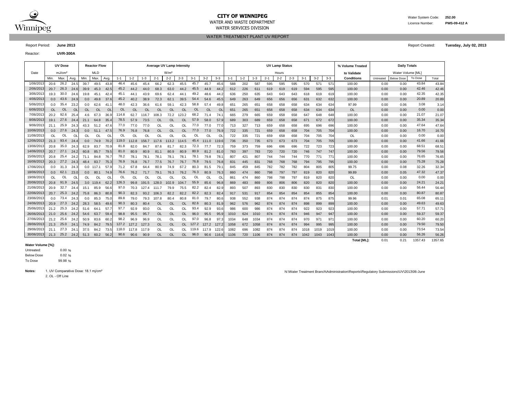

#### **CITY OF WINNIPEG** WATER MANUSCRIPT WATER System Code: 252.00 WATER AND WASTE DEPARTMENT Licence Number: **PWS-09-412 A**

WATER SERVICES DIVISION

Reactor: **UVR-300A**

#### WATER TREATMENT PLANT UV REPORT

Report Period: **June 2013** Report Created: **Tuesday, July 02, 2013**

|            |      | <b>UV Dose</b>     |          |      | <b>Average UV Lamp Intensity</b><br><b>Reactor Flow</b> |           |         |           |           |           |                  |           |       |           |                |         |         |         | <b>UV Lamp Status</b> |         |         |         |         | % Volume Treated |                    | <b>Daily Totals</b> |                   |         |         |
|------------|------|--------------------|----------|------|---------------------------------------------------------|-----------|---------|-----------|-----------|-----------|------------------|-----------|-------|-----------|----------------|---------|---------|---------|-----------------------|---------|---------|---------|---------|------------------|--------------------|---------------------|-------------------|---------|---------|
| Date       |      | mJ/cm <sup>2</sup> |          |      | <b>MLD</b>                                              |           |         |           |           |           | W/m <sup>2</sup> |           |       |           |                |         |         |         |                       | Hours   |         |         |         |                  | to Validate        |                     | Water Volume [ML] |         |         |
|            | Min. | Max.               | Avg.     | Min. | Max.                                                    | Avg.      | $1 - 1$ | $1 - 2$   | $1 - 3$   | $2 - 1$   | $2 - 2$          | $2 - 3$   | $3-1$ | $3 - 2$   | $3 - 3$        | $1 - 1$ | $1 - 2$ | $1 - 3$ | $2 - 1$               | $2 - 2$ | $2 - 3$ | $3 - 1$ | $3 - 2$ | $3 - 3$          | Conditions         | Untreated           | <b>Below Dose</b> | To Dose | Total   |
| 1/06/201   | 20.6 | 26.2               | 24.5     | 39.7 | 49.5                                                    | 43.8      | 46.4    | 45.6      | 45.4      | 66.2      | 62.3             | 45.5      | 45.7  | 45.7      | 45.6           | 588     | 202     | 587     | 595                   | 595     | 595     | 570     | 571     | 571              | 100.00             | 0.00                | 0.00              | 43.84   | 43.84   |
| 2/06/2013  | 20.7 | 26.3               | 24.6     | 39.9 | 45.3                                                    | 42.5      | 45.2    | 44.2      | 44.0      | 68.3      | 63.0             | 44.2      | 45.5  | 44.9      | 44.2           | 612     | 226     | 611     | 619                   | 619     | 619     | 594     | 595     | 595              | 100.00             | 0.00                | 0.00              | 42.46   | 42.46   |
| 3/06/2013  | 19.3 | 30.0               | 24.6     | 19.8 | 45.1                                                    | 42.4      | 45.1    | 44.1      | 43.9      | 69.6      | 62.4             | 44.1      | 49.2  | 48.6      | 44.2           | 636     | 250     | 635     | 643                   | 643     | 643     | 618     | 619     | 619              | 100.00             | 0.00                | 0.00              | 42.35   | 42.35   |
| 4/06/2013  | 0.0  | 43.6               | 24.9     | 0.0  | 49.8                                                    | 37.6      | 45.2    | 40.2      | 38.9      | 72.3      | 62.1             | 39.5      | 54.4  | 54.6      | 45.5           | 649     | 263     | 649     | 656                   | 656     | 656     | 631     | 632     | 632              | 100.00             | 0.00                | 0.00              | 20.89   | 20.89   |
| 5/06/201   | 0.0  | 35.4               | 23.2     | 0.0  | 62.6                                                    | 41.1      | 48.0    | 42.3      | 36.6      | 61.6      | 59.1             | 42.3      | 58.8  | 57.4      | 49.8           | 651     | 265     | 651     | 658                   | 658     | 658     | 634     | 634     | 634              | 97.99              | 0.00                | 0.06              | 3.08    | 3.14    |
| 6/06/2013  | OL   | <b>OL</b>          | $\Omega$ | OL   | <b>OL</b>                                               | <b>OL</b> | 0L      | $\Omega$  | <b>OL</b> | OL        | $\Omega$         | OL        | OL    | <b>OL</b> | O <sub>l</sub> | 651     | 265     | 651     | 658                   | 658     | 658     | 634     | 634     | 634              | <b>OL</b>          | 0.00                | 0.00              | 0.00    | 0.00    |
| 7/06/201   | 20.2 | 92.6               | 25.4     | 4.6  | 67.3                                                    | 36.9      | 114.8   | 62.7      | 116.7     | 108.3     | 72.2             | 123.2     | 68.2  | 71.4      | 74.7           | 665     | 279     | 665     | 659                   | 658     | 658     | 647     | 648     | 648              | 100.00             | 0.00                | 0.00              | 21.07   | 21.07   |
| 8/06/2013  | 19.1 | 27.6               | 24.4     | 21.1 | 64.8                                                    | 35.4      | 78.5    | 57.9      | 73.5      | <b>OL</b> | <b>OL</b>        | <b>OL</b> | 57.9  | 58.0      | 57.9           | 689     | 303     | 689     | 659                   | 658     | 658     | 671     | 672     | 672              | 100.00             | 0.00                | 0.00              | 35.34   | 35.34   |
| 9/06/201   | 21.1 | 25.9               | 24.3     | 43.3 | 51.2                                                    | 47.6      | 77.0    | 77.0      | 77.0      | OL        | <b>OL</b>        | <b>OL</b> | 77.0  | 77.0      | 77.0           | 713     | 327     | 713     | 659                   | 658     | 658     | 695     | 696     | 696              | 100.00             | 0.00                | 0.00              | 47.64   | 47.64   |
| 10/06/201: | 0.0  | 27.6               | 24.3     | 0.0  | 51.1                                                    | 47.5      | 76.9    | 76.8      | 76.8      | <b>OL</b> | <b>OL</b>        | <b>OL</b> | 77.0  | 77.0      | 76.9           | 722     | 335     | 721     | 659                   | 658     | 658     | 704     | 705     | 704              | 100.00             | 0.00                | 0.00              | 16.70   | 16.70   |
| 11/06/201: | OL   | OL                 | OL       | OL   | OL                                                      | O         | OL      | <b>OL</b> | OL        | OL        | <b>OL</b>        | OL        | OL    | OL        | O              | 722     | 335     | 721     | 659                   | 658     | 658     | 704     | 705     | 704              | OL                 | 0.00                | 0.00              | 0.00    | 0.00    |
| 12/06/2013 | 21.3 | 93.4               | 24.4     | 0.0  | 74.9                                                    | 70.2      | 119.0   | 112.8     | 156.7     | 117.6     | 113.2            | 114.5     | 45.4  | 111.0     | 119.6          | 736     | 350     | 735     | 673                   | 673     | 673     | 704     | 705     | 705              | 100.00             | 0.00                | 0.00              | 41.66   | 41.66   |
| 13/06/201: | 20.8 | 35.0               | 24.3     | 62.9 | 83.7                                                    | 70.9      | 81.8    | 82.0      | 84.7      | 87.6      | 81.7             | 82.3      | 72.3  | 77.7      | 72.3           | 759     | 373     | 759     | 696                   | 696     | 696     | 722     | 723     | 723              | 100.00             | 0.00                | 0.00              | 68.51   | 68.51   |
| 14/06/201  | 20.7 | 27.1               | 24.2     | 60.8 | 85.7                                                    | 79.5      | 81.0    | 80.9      | 80.9      | 81.1      | 80.9             | 80.9      | 80.9  | 81.2      | 81.            | 783     | 397     | 783     | 720                   | 720     | 720     | 746     | 747     | 747              | 100.00             | 0.00                | 0.00              | 79.56   | 79.56   |
| 15/06/201  | 20.8 | 25.4               | 24.2     | 71.1 | 84.8                                                    | 76.7      | 78.2    | 78.1      | 78.1      | 78.7      | 78.1             | 78.1      | 78.1  | 79.8      | 78.            | 807     | 421     | 807     | 744                   | 744     | 744     | 770     | 771     | 771              | 100.00             | 0.00                | 0.00              | 76.65   | 76.65   |
| 16/06/201  | 20.3 | 27.2               | 24.3     | 48.4 | 83.7                                                    | 75.3      | 76.9    | 76.8      | 76.7      | 77.5      | 76.7             | 76.7      | 76.8  | 79.5      | 76.8           | 831     | 445     | 831     | 768                   | 768     | 768     | 794     | 795     | 795              | 100.00             | 0.00                | 0.00              | 75.28   | 75.28   |
| 17/06/201  | 0.0  | 31.3               | 24.3     | 0.0  | 117.1                                                   | 57.9      | 71.2    | 67.8      | 64.4      | 80.9      | 74.9             | 67.2      | 80.3  | 81.5      | 79.            | 845     | 459     | 845     | 782                   | 782     | 782     | 804     | 805     | 805              | 99.75              | 0.00                | 0.08              | 32.26   | 32.34   |
| 18/06/2013 | 0.0  | 62.1               | 23.0     | 0.0  | 80.1                                                    | 74.9      | 76.6    | 76.2      | 71.7      | 79.1      | 76.3             | 76.2      | 76.3  | 80.9      | 76.3           | 860     | 474     | 860     | 798                   | 797     | 797     | 819     | 820     | 820              | 99.89              | 0.00                | 0.05              | 47.32   | 47.37   |
| 19/06/201: | OL   | OL                 | OL       | OL   | 0L                                                      | OL        | OL      | <b>OL</b> | ΩI        | OL        | OL               | OL        | OL    | OL        | O              | 861     | 474     | 860     | 798                   | 798     | 797     | 819     | 820     | 820              | OL                 | 0.00                | 0.00              | 0.00    | 0.00    |
| 20/06/2013 | 20.8 | 91.9               | 24.5     |      | 3.0 119.4                                               | 62.2      | 126.3   | 99.8      | 191.5     | 128.0     | 102.9            | 104.7     | 55.9  | 85.6      | 96.8           | 869     | 483     | 869     | 806                   | 806     | 806     | 820     | 820     | 820              | 100.00             | 0.00                | 0.00              | 24.21   | 24.21   |
| 21/06/2013 | 20.9 | 32.7               | 24.4     | 15.1 | 85.9                                                    | 56.6      | 97.0    | 70.3      | 127.4     | 111.7     | 79.9             | 75.5      | 82.2  | 82.4      | 82.9           | 893     | 507     | 893     | 830                   | 830     | 830     | 830     | 831     | 830              | 100.00             | 0.00                | 0.00              | 56.44   | 56.44   |
| 22/06/201: | 20.7 | 25.3               | 24.2     | 75.8 | 86.3                                                    | 80.8      | 90.3    | 82.3      | 93.2      | 106.3     | 82.2             | 82.2      | 82.2  | 82.3      | 82.4           | 917     | 531     | 917     | 854                   | 854     | 854     | 854     | 855     | 854              | 100.00             | 0.00                | 0.00              | 80.87   | 80.87   |
| 23/06/201: | 0.0  | 73.4               | 24.3     | 0.0  | 85.3                                                    | 75.C      | 89.8    | 79.0      | 79.3      | 107.8     | 80.4             | 80.8      | 81.0  | 79.7      | 80.6           | 938     | 552     | 938     | 874                   | 874     | 874     | 874     | 875     | 875              | 99.96              | 0.01                | 0.01              | 65.08   | 65.11   |
| 24/06/201: | 20.9 | 27.3               | 24.2     | 28.3 | 58.5                                                    | 49.6      | 90.3    | 80.3      | 80.4      | <b>OL</b> | <b>OL</b>        | <b>OL</b> | 82.6  | 80.3      | 81.9           | 962     | 576     | 962     | 874                   | 874     | 874     | 898     | 899     | 899              | 100.00             | 0.00                | 0.00              | 49.63   | 49.63   |
| 25/06/201  | 21.2 | 25.3               | 24.2     | 51.6 | 64.1                                                    | 57.       | 97.7    | 92.9      | 93.0      | OL        | <b>OL</b>        | OL        | 93.4  | 92.9      | 93.6           | 986     | 600     | 986     | 874                   | 874     | 874     | 922     | 923     | 923              | 100.00             | 0.00                | 0.00              | 57.71   | 57.71   |
| 26/06/2013 | 21.0 | 25.6               | 24.2     | 54.6 | 63.7                                                    | 59.4      | 98.8    | 95.5      | 95.7      | <b>OL</b> | <b>OL</b>        | <b>OL</b> | 96.0  | 95.5      | 95.9           | 1010    | 624     | 1010    | 874                   | 874     | 874     | 946     | 947     | 947              | 100.00             | 0.00                | 0.00              | 59.37   | 59.37   |
| 27/06/2013 | 21.2 | 25.6               | 24.2     | 50.9 | 83.6                                                    | 60.2      | 98.2    | 96.9      | 96.9      | OL        | OL               | OL        | 97.0  | 96.8      | 97.3           | 1034    | 648     | 1034    | 874                   | 874     | 874     | 970     | 971     | 97'              | 100.00             | 0.00                | 0.00              | 60.20   | 60.20   |
| 28/06/2013 | 21.3 | 25.0               | 24.1     | 74.9 | 84.2                                                    | 79.5      | 127.2   | 127.2     | 127.3     | <b>OL</b> | <b>OL</b>        | OL.       | 127.2 | 127.2     | 127.2          | 1058    | 672     | 1058    | 874                   | 874     | 874     | 994     | 995     | 995              | 100.00             | 0.00                | 0.00              | 79.50   | 79.50   |
| 29/06/2013 | 21.1 | 27.3               | 24.7     | 37.5 | 84.2                                                    | 73.5      | 118.0   | 117.8     | 117.9     | OL        | OL               | 0L        | 119.6 | 117.9     | 122.6          | 1082    | 696     | 1082    | 874                   | 874     | 874     | 1018    | 1019    | 1019             | 100.00             | 0.00                | 0.00              | 73.54   | 73.54   |
| 30/06/2013 | 21.3 | 25.2               | 24.2     | 51.3 | 60.2                                                    | 56.2      | 90.6    | 90.6      | 90.9      | <b>OL</b> | <b>OL</b>        | <b>OL</b> | 96.0  | 90.6      | 116.6          | 1106    | 720     | 1106    | 874                   | 874     | 874     | 1042    | 1043    | 1043             | 100.00             | 0.00                | 0.00              | 56.26   | 56.26   |
|            |      |                    |          |      |                                                         |           |         |           |           |           |                  |           |       |           |                |         |         |         |                       |         |         |         |         |                  | <b>Total IMLI:</b> | 0.01                | 0.21              | 1357.43 | 1357.65 |

#### **Water Volume [%]:**

 $0.00 \%$ 0.02 % 99.98 % Untreated: Below Dose To Dose

2. OL - Off Line Notes: 1. UV Comparative Dose: 18.1 mj/cm<sup>2</sup> N:\Water Treatment Branch\Administration\Reports\Regulatory Submissions\UV\2013\06-June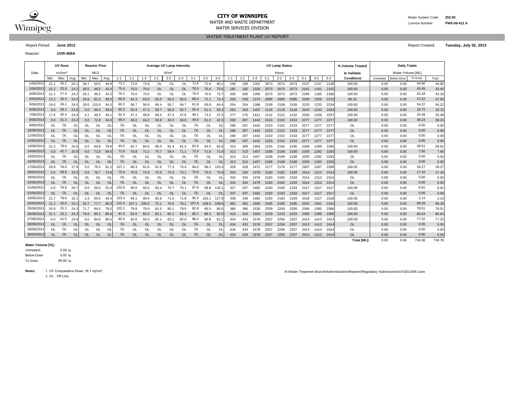

# **CITY OF WINNIPEG** WATER System Code: 252.00

WATER SERVICES DIVISION

Reactor: **UVR-400A**

WATER TREATMENT PLANT UV REPORT

Report Period: **June 2013** Report Created: **Tuesday, July 02, 2013**

**% Volume Treated to Validate** Min. Max. | Avg. | Min. | Max. | Avg. | 1-1 | 1-2 | 1-3 | 2-1 | 2-2 | 3-3 | 3-1 | 3-2 | 3-3 | 3-2 | 3-3 | 20n**ditions** | Untreated |Below Dose | Total 21.1 24.1 39.7 50.5 44.9 72.8 72.8 OL OL OL 72.8 80.1 158 158 1302 2073 2073 2073 2137 1137 2138 100.00 0.00 0.00 44.90 21.2 25.9 24.2 40.5 46.5 43.4 70.4 70.5 70.5 OL OL OL 70.5 70.4 75.6 182 182 1326 2073 2073 2073 2161 1161 2162 100.00 | 0.00 0.00 43.45 43.45 21.1 27.4 24.2 25.1 46.2 43.2 70.1 70.0 70.0 OL OL OL 70.0 70.0 72.7 206 206 1350 2073 2073 2073 2185 1185 2186 100.00 | 0.00 0.00 43.18 43.18 12.2 24.4 29.6 81.5 48.0 63.3 63.0 65.5 55.5 55.5 71.1 72.4 230 230 1374 2085 2084 2085 2209 1209 2210 99.16 0.00 0.40 47.93 19.0 29.1 24.5 29.0 120.0 54.3 60.3 56.7 56.8 66.4 56.7 56.7 61.8 69.9 64.4 254 254 1398 2109 2108 2109 2233 1233 2234 100.00 | 0.00 0.00 54.22 54.22 0.0 39.1 23.6 0.0 56.4 49.0 50.3 50.4 47.3 50.7 50.8 50.7 50.4 51.4 50.2 263 263 1407 2118 2118 2118 2243 1242 2243 100.00 | 0.00 0.00 18.72 18.72 17.6 45.4 24.6 4.1 49.2 45.1 52.4 47.3 46.8 68.4 47.4 47.6 48.1 73.2 47.5 277 276 1421 2132 2131 2132 2256 1256 2257 100.00 | 0.00 0.00 25.48 25.48 0.0 31.3 23.4 0.0 72.8 44.0 46.4 46.0 44.2 50.8 45.9 46.0 46.0 61.0 42.3 298 297 1442 2153 2152 2153 2277 1277 2277 100.00 | 0.00 0.00 38.23 38.23 OL OL OL OL OL OL OL OL OL OL OL OL 298 297 1442 2153 2152 2153 2277 1277 2277 OL 0.00 0.00 0.00 OL OL OL| OL OL| OL OL OL OL OL OL OL OL OL OL| 298 297 1442 2153 2152 2153 2277 1277 2277| OL | 0.00 0.00 0.00 0.00 OL OL OL OL OL OL OL OL OL OL OL OL 298 297 1442 2153 2152 2153 2277 1277 2277 OL 0.00 0.00 0.00 OL OL OL| OL OL| OL OL OL OL OL OL OL OL OL OL| 298 297 1442 2153 2152 2153 2277 1277 2277| OL | 0.00 0.00 0.00 0.00 21.2 24.0 0.0 84.8 79.8 82.7 84.0 86.0 81.4 81.3 83.4 92.6 310 309 1454 2165 2164 2165 2289 1289 2290 100.00 0.00 0.00 39.51 0.0 42.7 20.9| 0.0 72.8 69.5| 71.9 70.8 71.2 70.7 58.4 71.1 72.0 71.8 71.8| 313 313 1457 2168 2168 2168 2293 1292 2293| 100.00 | 0.00 0.00 7.95 7.95 OL OL OL| OL OL| OL OL OL OL OL OL OL OL OL| 313 313 1457 2168 2168 2168 2293 1292 2293| OL | 0.00 0.00 0.00 0.00 OL OL OL OL OL OL OL OL OL OL OL OL 313 313 1457 2168 2168 2168 2293 1292 2293 OL 0.00 0.00 0.00 20.9 27.9 0.0 78.5 61.2 86.3 81.6 81.6 77.3 76.4 89.2 103.4 328 328 1472 2177 2176 2177 2307 1307 2308 100.00 0.00 0.00 39.27 0.0 23.5 0.0 78.7 74.8 75.9 72.9 75.9 75.9 73.1 75.9 75.9 334 334 1478 2183 2182 2183 2314 1313 2314 100.00 0.00 0.00 17.16 OL OL OL OL OL OL OL OL OL OL OL OL 334 334 1478 2183 2182 2183 2314 1313 2314 OL 0.00 0.00 0.00 OL OL OL OL OL OL OL OL OL OL OL OL 334 334 1478 2183 2182 2183 2314 1313 2314 OL 0.00 0.00 0.00 0.0 78.6 25.7| 0.0 55.0 51.9| 132.9 90.6 92.0 93.4 70.7 76.1 87.6 98.8 130.1| 337 337 1482 2183 2183 2183 2317 1317 2317| 100.00 | 0.00 0.00 6.91 6.91 OL OL OL| OL OL| OL OL OL OL OL OL OL OL OL OL| 337 337 1482 2183 2183 2317 1317 2317| OL | 0.00 0.00 0.00 0.00 21.7 78.6 32.1| 2.3 69.5 44.4| 133.3 94.1 90.4 82.8 71.0 71.8 95.3 103.1 127.8| 338 338 1482 2183 2183 2183 2318 1317 2318| 100.00 | 0.00 0.00 2.14 2.14 21.2 33.0 24.1| 52.7 77.7 69.3| 115.4 107.1 106.5 75.1 76.5 76.1 107.4 108.5 109.6| 362 362 1506 2185 2185 2185 2342 1341 2342| 100.00 | 0.00 69.28 69.28 20.9 25.2 24.3 71.7 84.5 78.5 102.1 79.9 79.9 81.5 80.1 79.9 82.8 85.5 80.0 386 386 1530 2209 2209 2209 2366 1365 2366 100.00 | 0.00 0.00 78.51 78.51 21.1 25.1 24.3 76.6 85.1 80.6 87.5 82.0 82.0 82.1 82.1 82.0 85.7 88.3 82.0 410 410 1554 2233 2233 2233 2390 1389 2390 100.00 | 0.00 0.00 80.64 80.64 0.0 41.5 23.9 0.0 84.6 80.6 80.9 82.0 82.1 82.2 82.0 88.4 90.8 81.2 434 433 1578 2257 2256 2257 2413 1413 2413 100.00 | 0.00 0.00 77.32 77.32 OL OL OL OL OL OL OL OL OL OL OL OL 434 433 1578 2257 2256 2257 2413 1413 2414 OL 0.00 0.00 0.00 OL OL OL OL OL OL OL OL OL OL OL OL 434 433 1578 2257 2256 2257 2413 1413 2414 OL 0.00 0.00 0.00 OL OL OL OL OL OL OL OL OL OL OL OL 434 433 1578 2257 2256 2257 2413 1413 2414 OL 0.00 0.00 0.00 30/06/2013 OL OL OL 0.00 UV Dose Reactor Flow **Average UV Lamp Intensity Daily Totals UV Lamp Status Delity of Status Property Daily Totals** Date | mJ/cm² | MLD | W/m² W/m² | Hours Hours Hours | t**o Validate |** Water Volume [ML] Max. | Avg. | Min. | Max. | Avg. | 1-1 | 1-2 | 1-3 | 2-1 | 2-2 | 2-3 | 3-1 | 3-2 | 3-3 | 2-1 | 3-2 | 3-1 | 3-2 | 3-3 | Conditions | Untreated | Below Dose | To Dose 1/06/2013| 21.1 26.1 24.1| 39.7 50.5 44.9| 73.1 72.8 72.8 OL OL OL 73.6 72.8 80.1| 158 158 1302 2073 2073 2073 2137 1137 2138| 100.00 | 0.00 0.00 44.90 2/06/2013 21.2 25.9 24.2 40.5 46.5 43.4 70.4 70.5 70.5 OL OL OL 70.5 70.4 75.6 182 182 1326 2073 2073 2073 2161 1161 2162 100.00 | 0.00 0.00 43.45 3/06/2013 21.1 27.4 24.2 25.1 46.2 43.2 70.1 70.0 70.0 OL OL OL 70.0 70.0 72.7 206 206 1350 2073 2073 2073 2185 1185 2186 100.00 | 0.00 0.00 43.18 4/06/2013| 12.2 34.3 24.4| 29.6 81.5 48.0| 66.8 63.3 63.0 65.5 55.5 68.4 71.1 72.4| 230 230 1374 2085 2084 2085 2209 1209 2210| 99.16 | 0.00 0.40 47.52 5/06/2013 19.0 29.1 24.5 29.0 120.0 54.3 60.3 56.7 56.8 66.4 56.7 56.7 61.8 69.9 64.4 254 254 1398 2109 2108 2109 2233 1233 2234 100.00 | 0.00 0.00 54.22 6/06/2013| 0.0 39.1 23.6| 0.0 56.4 49.0| 50.3 50.4 47.3 50.7 50.8 50.7 50.4 51.4 50.2| 263 263 1407 2118 2118 2118 2243 1242 2243| 100.00 | 0.00 0.00 18.72 7/06/2013 17.6 45.4 24.6 4.1 49.2 45.1 52.4 47.3 46.8 68.4 47.4 47.6 48.1 73.2 47.5 277 276 1421 2132 2131 2132 2256 1256 2257 100.00 | 0.00 0.00 25.48 8/06/2013| 0.0 31.3 23.4| 0.0 72.8 44.0| 46.4 46.0 44.2 50.8 45.9 46.0 46.0 61.0 42.3| 298 297 1442 2153 2152 2153 2277 1277 2277| 100.00 | 0.00 0.00 38.23 9/06/2013 OL OL OL 0.00 10/06/2013| OL OL OL| OL OL OL OL OL OL OL OL OL OL OL| 298 297 1442 2153 2152 2153 2277 1277 2277| OL | 0.00 0.00 0.00 11/06/2013| OL OL OL| OL OL| OL OL OL OL OL OL OL OL| 298 297 1442 2153 2152 2153 2277 1277 2277| OL | 0.00 0.00 0.00 12/06/2013| OL OL OL| OL OL| OL OL OL OL OL OL OL OL| 298 297 1442 2153 2152 2153 2277 1277 2277| OL | 0.00 0.00 0.00 13/06/2013| 21.2 78.6 24.0| 0.0 84.8 79.8| 93.5 82.7 84.0 86.0 81.4 81.3 82.6 83.4 92.6| 310 309 1454 2165 2164 2165 2289 1289 2290| 100.00 | 0.00 0.00 39.51 14/06/2013| 0.0 42.7 20.9| 0.0 72.8 69.5| 71.9 70.8 71.2 70.7 58.4 71.1 72.0 71.8 71.8| 313 313 1457 2168 2168 2168 2293 1292 2293| 100.00 | 0.00 0.00 7.95 15/06/2013| OL OL OL| OL OL| OL OL OL OL OL OL OL OL| 313 313 1457 2168 2168 2293 1292 2293| OL | 0.00 0.00 0.00 16/06/2013| OL OL OL| OL OL| OL OL OL OL OL OL OL OL| 313 313 1457 2168 2168 2293 1292 2293| OL | 0.00 0.00 17/06/2013| 20.9 78.6 27.9| 0.0 78.5 61.2| 107.1 86.3 81.6 81.6 77.3 76.4 84.0 89.2 103.4| 328 328 1472 2177 2176 2177 2307 1307 2308| 100.00 | 0.00 0.00 39.27 18/06/2013| 0.0 39.8 23.5| 0.0 78.7 74.8| 75.9 75.9 72.9 75.9 75.9 73.1 75.9 75.9| 334 334 1478 2183 2182 2183 2314 1313 2314| 100.00 | 0.00 0.00 17.16 19/06/2013| OL OL OL| OL OL OL OL OL OL OL OL OL OL OL| 334 334 1478 2183 2182 2183 2314 1313 2314| OL | 0.00 0.00 0.00 20/06/2013| OL OL OL| OL OL| OL OL OL OL OL OL OL OL| 334 334 1478 2183 2182 2183 2314 1313 2314| OL | 0.00 0.00 0.00 21/06/2013| 0.0 78.6 25.7| 0.0 55.0 51.9| 132.9 90.6 92.0 93.4 70.7 76.1 87.6 98.8 130.1| 337 337 1482 2183 2183 2183 2317 1317 2317| 100.00 | 0.00 0.00 6.91 22/06/2013| OL OL OL| OL OL| OL OL OL OL OL OL OL OL| 337 337 1482 2183 2183 2183 2317 1317 2317| OL | 0.00 0.00 0.00 23/06/2013| 21.7 78.6 32.1| 2.3 69.5 44.4| 133.3 94.1 90.4 82.8 71.0 71.8 95.3 103.1 127.8| 338 338 1482 2183 2183 2183 2318 1317 2318| 100.00 | 0.00 0.00 2.14 24/06/2013| 21.2 33.0 24.1| 52.7 77.7 69.3| 115.4 107.1 106.5 75.1 76.5 76.1 107.4 108.5 109.6| 362 362 1506 2185 2185 2185 2242 1341 2342| 100.00 | 0.00 0.00 69.28 25/06/2013| 20.9 25.2 24.3| 71.7 84.5 78.5| 102.1 79.9 79.9 81.5 80.1 79.9 82.8 85.5 80.0| 386 386 1530 2209 2209 2209 2366 1365 2366| 100.00 | 0.00 0.00 78.51 26/06/2013| 21.1 25.1 24.3| 76.6 85.1 80.6| 87.5 82.0 82.0 82.1 82.1 82.0 85.7 88.3 82.0| 410 410 1554 2233 2233 2233 2390 1389 2390| 100.00 | 0.00 0.00 80.64 27/06/2013| 0.0 41.5 23.9| 0.0 84.6 80.6| 80.9 82.0 82.0 82.1 82.2 82.0 88.4 90.8 81.2| 434 433 1578 2257 2256 2257 2413 1413 2413| 100.00 | 0.00 0.00 77.32 28/06/2013 OL OL OL 0.00 29/06/2013| OL OL OL| OL OL| OL OL OL OL OL OL OL OL| 434 433 1578 2257 2256 2257 2413 1413 2414| OL | 0.00 0.00 0.00

#### **Water Volume [%]:**

 $0.00%$ 0.05 % 99.95 % Untreated: Below Dose To Dose

2. OL - Off Line Notes: 1. UV Comparative Dose: 18.1 mj/cm<sup>2</sup> N:\Water Treatment Branch\Administration\Reports\Regulatory Submissions\UV\2013\06-June

**Total [ML]:** 0.00 0.40 734.78

734.38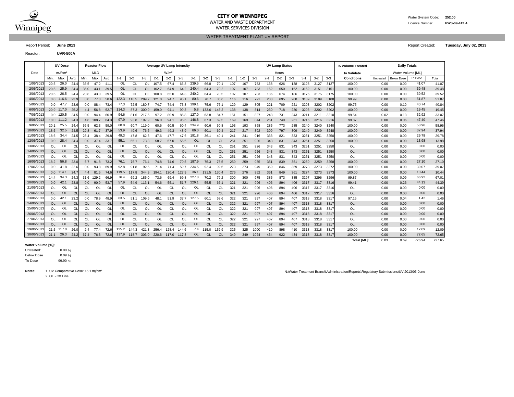

# **CITY OF WINNIPEG** Water System Code: 252.00

WATER SERVICES DIVISION

WATER TREATMENT PLANT UV REPORT

Reactor: **UVR-500A**

**% Volume Treated to Validate** Report Period: **June 2013** Report Created: **Tuesday, July 02, 2013** UV Dose Reactor Flow **Average UV Lamp Intensity CONSIDENT CONSIDENT CONSIDENT ARRANGEMENT OF STATUS ARRANGEMENT OF STATUS OF DAILY Totals** 

| Date       |            | mJ/cm <sup>2</sup> |           |           | MLD        |           |               |               |           |             | W/m <sup>2</sup> |           |           |           |                |         |         |         |         | Hours   |         |         |         |       | to Validate        |           | Water Volume [ML] |         |        |
|------------|------------|--------------------|-----------|-----------|------------|-----------|---------------|---------------|-----------|-------------|------------------|-----------|-----------|-----------|----------------|---------|---------|---------|---------|---------|---------|---------|---------|-------|--------------------|-----------|-------------------|---------|--------|
|            | Min.       | Max.               | Avg.      | Min.      | Max.       | Avg.      | $1 - 1$       | $1 - 2$       | $1 - 3$   | $2 - 1$     | $2 - 2$          | $2 - 3$   | $3-1$     | $3 - 2$   | $3 - 3$        | $1 - 1$ | $1 - 2$ | $1 - 3$ | $2 - 1$ | $2 - 2$ | $2 - 3$ | $3 - 1$ | $3 - 2$ | $3-3$ | <b>Conditions</b>  | Untreated | <b>Below Dose</b> | To Dose | Total  |
| 1/06/201   | 20.5       | 26.0               | 24.4      | 36.5      | 47.2       | 41.1      | 0L            | $\Omega$      | OL        | 107.5       | 67.4             | 66.8      | 239.5     | 66.8      | 70.            | 107     | 107     | 783     | 138     | 626     | 138     | 3128    | 3127    | 3127  | 100.00             | 0.00      | 0.00              | 41.07   | 41.07  |
| 2/06/201   | 20.5       | 25.9               | 24.4      | 36.0      | 43.1       | 39.5      | <sub>OL</sub> | $\Omega$      | <b>OL</b> | 102.7       | 64.9             | 64.2      | 240.4     | 64.3      | 70.2           | 107     | 107     | 783     | 162     | 650     | 162     | 3152    | 3151    | 3151  | 100.00             | 0.00      | 0.00              | 39.48   | 39.48  |
| 3/06/2013  | 20.6       | 26.5               | 24.4      | 28.8      | 43.0       | 39.5      | OL            | <sup>OL</sup> | OL        | 100.8       | 65.0             | 64.3      | 240.2     | 64.4      | 70.5           | 107     | 107     | 783     | 186     | 674     | 186     | 3176    | 3175    | 3175  | 100.00             | 0.00      | 0.00              | 39.52   | 39.52  |
| 4/06/2013  |            | $0.0$ 116.6        | 23.9      | 0.0       | 77.8       | 58.6      | 122.3         | 118.5         | 289.7     | 121.0       | 94.7             | 95.1      | 80.6      | 78.7      | 85.            | 116     | 116     | 791     | 208     | 695     | 208     | 3189    | 3189    | 3188  | 99.99              | 0.00      | 0.00              | 51.87   | 51.87  |
| 5/06/2013  |            | $0.0$ 47.7         | 23.6      | 0.0       | 88.4       | 73.4      | 77.3          | 72.5          | 180.7     | 74.7        | 74.4             | 73.8      | 199.1     | 75.6      | 76.            | 129     | 129     | 805     | 221     | 709     | 221     | 3203    | 3202    | 3202  | 99.75              | 0.00      | 0.10              | 40.74   | 40.84  |
| 6/06/2013  |            | 20.9 117.0         | 25.2      | 4.4       | 56.8       | 52.7      | 114.3         | 87.3          | 300.9     | 159.0       | 94.1             | 99.3      | 5.8       | 133.6     | 146.2          | 138     | 138     | 814     | 230     | 718     | 230     | 3203    | 3202    | 3202  | 100.00             | 0.00      | 0.00              | 19.45   | 19.45  |
| 7/06/2013  |            | $0.0$ 120.5        | 24.5      | 0.0       | 94.4       | 60.9      | 94.6          | 81.6          | 217.5     | 97.2        | 80.9             | 85.8      | 127.0     | 63.8      | 84.            | 151     | 151     | 827     | 243     | 731     | 243     | 3211    | 3211    | 3210  | 99.54              | 0.02      | 0.13              | 32.92   | 33.07  |
| 8/06/2013  |            | 18.0 111.2         | 24.3      |           | 4.8 108.7  | 64.3      | 97.9          | 93.8          | 197.9     | 96.0        | 94.1             | 95.6      | 146.8     | 67.3      | 69.            | 169     | 169     | 844     | 261     | 749     | 261     | 3216    | 3216    | 3216  | 99.87              | 0.00      | 0.06              | 47.40   | 47.46  |
| 9/06/201   | 20.1       | 25.5               | 24.4      | 56.5      | 62.3       | 59.0      | 60.8          | 60.7          | 119.0     | 60.6        | 60.5             | 60.4      | 234.9     | 60.6      | 60.            | 193     | 193     | 868     | 285     | 773     | 285     | 3240    | 3240    | 3240  | 100.00             | 0.00      | 0.00              | 58.96   | 58.96  |
| 10/06/2013 | 18.6       | 32.5               | 24.5      | 22.8      | 61.7       | 37.9      | 53.9          | 49.6          | 76.6      | 49.3        | 49.3             | 48.9      | 86.0      | 60.1      | 60.            | 217     | 217     | 892     | 309     | 797     | 309     | 3249    | 3249    | 3248  | 100.00             | 0.00      | 0.00              | 37.94   | 37.94  |
| 11/06/2013 | 18.6       | 34.4               | 24.5      | 23.4      | 38.4       | 29.8      | 49.3          | 47.8          | 62.6      | 47.6        | 47.7             | 47.6      | 191.8     | 36.7      | 40.            | 241     | 241     | 916     | 333     | 82'     | 333     | 3251    | 3251    | 3250  | 100.00             | 0.00      | 0.00              | 29.78   | 29.78  |
| 12/06/2013 | 0.0        | -28.4              | 24.4      | 0.0       | 37.4       | 33.7      | 55.1          | 55.1          | 73.3      | 58.7        | 57.0             | 55.6      | <b>OL</b> | <b>OL</b> | $\overline{O}$ | 251     | 251     | 926     | 343     | 831     | 343     | 3251    | 3251    | 3250  | 100.00             | 0.00      | 0.00              | 13.98   | 13.98  |
| 13/06/2013 | OL.        | <b>OL</b>          | OL        | OL        | OL         | OL        | OL            | $\Omega$      | OL        | OL          | <b>OL</b>        | OL.       | OL        | <b>OL</b> | OL             | 251     | 251     | 926     | 343     | 831     | 343     | 3251    | 3251    | 3250  | <b>OL</b>          | 0.00      | 0.00              | 0.00    | 0.00   |
| 14/06/2013 | OL.        | <b>OL</b>          | <b>OL</b> | OL.       | <b>OL</b>  | <b>OL</b> | <b>OL</b>     | $\Omega$      | OL        | OL          | <b>OL</b>        | OL        | <b>OL</b> | <b>OL</b> | <b>OL</b>      | 251     | 251     | 926     | 343     | 831     | 343     | 3251    | 3251    | 3250  | OL                 | 0.00      | 0.00              | 0.00    | 0.00   |
| 15/06/2013 | OL.        | <b>OL</b>          | OL        | OL        | 0L         | OL        | OL            | $\Omega$      | OL        | OL          | <b>OL</b>        | OL        | OL        | OL        | O              | 251     | 251     | 926     | 343     | 831     | 343     | 3251    | 3251    | 3250  | <b>OL</b>          | 0.00      | 0.00              | 0.00    | 0.00   |
| 16/06/2013 | 18.2       | 56.8               | 23.0      | 5.7       | 91.8       | 73.2      | 76.1          | 75.7          | 76.4      | 74.8        | 74.6             | 70.5      | 187.9     | 75.3      | 75.5           | 259     | 259     | 935     | 351     | 839     | 351     | 3259    | 3259    | 3258  | 100.00             | 0.00      | 0.00              | 27.10   | 27.10  |
| 17/06/2013 | 0.0        | 41.8               | 22.6      | 0.0       | 93.8       | 69.9      | 92.8          | 91.8          | 92.5      | 71.4        | 71.4             | 59.7      | 234.5     | 92.4      | 92.0           | 273     | 273     | 949     | 359     | 846     | 359     | 3273    | 3273    | 3272  | 100.00             | 0.00      | 0.00              | 39.07   | 39.07  |
| 18/06/2013 |            | $0.0$ 114.1        | 24.7      | 4.4       | 81.5       | 74.6      | 119.5         | 117.8         | 344.9     | 194.1       | 120.4            | 127.9     | 36.1      | 131.5     | 130.           | 276     | 276     | 952     | 361     | 849     | 361     | 3274    | 3273    | 3273  | 100.00             | 0.00      | 0.00              | 10.44   | 10.44  |
| 19/06/201  |            | 14.4 34.3          | 24.3      |           | 31.6 129.2 | 66.9      | 76.4          | 69.2          | 185.0     | 73.6        | 69.4             | 69.8      | 227.8     | 70.2      | 79.            | 300     | 300     | 975     | 385     | 873     | 385     | 3297    | 3296    | 3296  | 99.87              | 0.00      | 0.09              | 66.92   | 67.01  |
| 20/06/2013 | 0.0        | 42.1               | 23.8      | 0.0       | 90.9       | 53.7      | 57.9          | 54.9          | 113.1     | 54.6        | 55.1             | 51.7      | 226.1     | 55.5      | 66.            | 321     | 321     | 996     | 406     | 894     | 406     | 3317    | 3317    | 3316  | 99.41              | 0.00      | 0.26              | 44.13   | 44.39  |
| 21/06/2013 | OL         | <b>OL</b>          | OL.       | OL        | OL         | OL        | OL            | OL            | OL        | OL          | OL               | OL        | OL        | OL        | O              | 321     | 321     | 996     | 406     | 894     | 406     | 3317    | 3317    | 3316  | OL                 | 0.00      | 0.00              | 0.00    | 0.00   |
| 22/06/2013 | OL         | <b>OL</b>          | $\Omega$  | OL        | <b>OL</b>  | OL        | OL            | $\Omega$      | O         | OL          | <b>OL</b>        | OL        | <b>OL</b> | OL        | $\Omega$       | 321     | 321     | 996     | 406     | 894     | 406     | 3317    | 3317    | 3316  | OL                 | 0.00      | 0.00              | 0.00    | 0.00   |
| 23/06/2013 | 0.0        | 42.1               | 23.2      | 0.0       | 78.9       | 48.9      | 63.5          | 51.1          | 109.6     | 48.1        | 51.9             | 37.7      | 127.5     | 60.       | 68.6           | 322     | 321     | 997     | 407     | 894     | 407     | 3318    | 3318    | 3317  | 97.15              | 0.00      | 0.04              | 1.42    | 1.46   |
| 24/06/2013 | OL         | <b>OL</b>          | <b>OL</b> | OL.       | <b>OL</b>  | <b>OL</b> | <sub>OL</sub> | $\Omega$      | <b>OL</b> | OL          | <b>OL</b>        | <b>OL</b> | 0L        | <b>OL</b> | <b>OL</b>      | 322     | 321     | 997     | 407     | 894     | 407     | 3318    | 3318    | 3317  | OL                 | 0.00      | 0.00              | 0.00    | 0.00   |
| 25/06/2013 | 0L         | <b>OL</b>          | <b>OL</b> | OL        | OL         | OL        | OL            | OL            | OL        | OL          | OL               | OL        | OL        | OL        | O              | 322     | 321     | 997     | 407     | 894     | 407     | 3318    | 3318    | 3317  | OL                 | 0.00      | 0.00              | 0.00    | 0.00   |
| 26/06/2013 | OL         | <b>OL</b>          | $\Omega$  | <b>OL</b> | <b>OL</b>  | OL        | OL            | <b>OL</b>     | OL        | <b>OL</b>   | OL               | OL        | OL        | <b>OL</b> | $\overline{O}$ | 322     | 321     | 997     | 407     | 894     | 407     | 3318    | 3318    | 3317  | OL                 | 0.00      | 0.00              | 0.00    | 0.00   |
| 27/06/2013 | OL         | <b>OL</b>          | OL        | OL        | OL         | OL        | OL            | <b>OL</b>     | OL        | OL          | <b>OL</b>        | OL        | OL        | OL        | OL             | 322     | 321     | 997     | 407     | 894     | 407     | 3318    | 3318    | 3317  | OL                 | 0.00      | 0.00              | 0.00    | 0.00   |
| 28/06/2013 | OL         | <b>OL</b>          | $\Omega$  | OL        | <b>OL</b>  | OL        | <b>OL</b>     | $\Omega$      | <b>OL</b> | <b>OL</b>   | <b>OL</b>        | OL        | OL        | <b>OL</b> | $\Omega$       | 322     | 321     | 997     | 407     | 894     | 407     | 3318    | 3318    | 3317  | OL                 | 0.00      | 0.00              | 0.00    | 0.00   |
| 29/06/201  | 21.5 117.0 |                    | 26(       | 2.4       | 77.4       | 72.6      | 125.2         | 144.3         | 421.3     | 256.4       | 128.4            | 144.6     | 7.4       | 115.0     | 152.           | 325     | 325     | 1000    | 410     | 898     | 410     | 3318    | 3318    | 3317  | 100.00             | 0.00      | 0.00              | 12.09   | 12.09  |
| 30/06/201  | 21.1       | 26.3               | 24.2      | 67.4      | 76.3       | 72.6      | 117.9         | 118.7         | 303.0     | 220.6 117.0 |                  | 117.8     | OL        | <b>OL</b> | <sup>OL</sup>  | 349     | 349     | 1024    | 434     | 922     | 434     | 3318    | 3318    | 3317  | 100.00             | 0.00      | 0.00              | 72.65   | 72.65  |
|            |            |                    |           |           |            |           |               |               |           |             |                  |           |           |           |                |         |         |         |         |         |         |         |         |       | <b>Total [ML]:</b> | 0.03      | 0.69              | 726.94  | 727.65 |

#### **Water Volume [%]:**

 $0.00 \%$ 0.09 % 99.90 % Untreated: Below Dose To Dose

2. OL - Off Line Notes: 1. UV Comparative Dose: 18.1 mj/cm<sup>2</sup> N:\Water Treatment Branch\Administration\Reports\Regulatory Submissions\UV\2013\06-June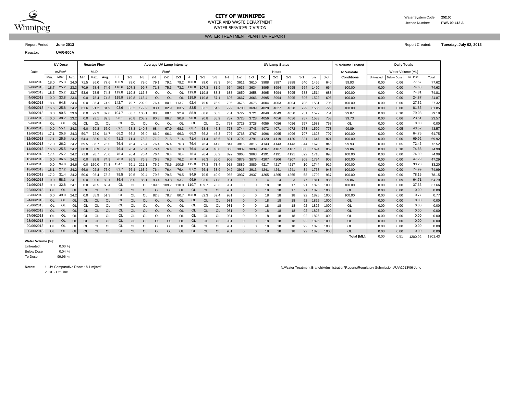

### **CITY OF WINNIPEG** WATER MANUSCRIPT WATER System Code: 252.00

WATER SERVICES DIVISION

WATER TREATMENT PLANT UV REPORT

Report Period: **June 2013** Report Created: **Tuesday, July 02, 2013**

Reactor: **UVR-600A**

|            |           | <b>UV Dose</b>     |           |           | <b>Reactor Flow</b> |           |               |           |            |           | <b>Average UV Lamp Intensity</b> |           |           |           |                |         |             |          |         | <b>UV Lamp Status</b> |         |         |         |         | % Volume Treated |           | <b>Daily Totals</b> |         |       |
|------------|-----------|--------------------|-----------|-----------|---------------------|-----------|---------------|-----------|------------|-----------|----------------------------------|-----------|-----------|-----------|----------------|---------|-------------|----------|---------|-----------------------|---------|---------|---------|---------|------------------|-----------|---------------------|---------|-------|
| Date       |           | mJ/cm <sup>2</sup> |           |           | <b>MLD</b>          |           |               |           |            |           | W/m <sup>2</sup>                 |           |           |           |                |         |             |          |         | Hours                 |         |         |         |         | to Validate      |           | Water Volume [ML]   |         |       |
|            | Min.      | Max.               | Avg.      | Min.      | Max                 | Avg.      | $1 - 1$       | $1 - 2$   | $1 - 3$    | $2 - 1$   | $2 - 2$                          | $2 - 3$   | $3 - 1$   | $3 - 2$   | $3 - 3$        | $1 - 1$ | $1 - 2$     | $1 - 3$  | $2 - 1$ | $2 - 2$               | $2 - 3$ | $3 - 1$ | $3 - 2$ | $3 - 3$ | Conditions       | Untreated | <b>Below Dose</b>   | To Dose | Total |
| 1/06/2013  | 18.0      | 25.3               | 24.0      | 71.5      | 86.0                | 77.6      | 100.9         | 79.0      | 79.0       | 79.1      | 79.1                             | 79.2      | 100.8     | 79.0      | 78.3           | 640     | 3611        | 3610     | 3988    | 3987                  | 3988    | 640     | 1466    | 640     | 99.93            | 0.00      | 0.06                | 77.57   | 77.62 |
| 2/06/2013  | 18.7      | 25.2               | 23.3      | 70.9      | 78.4                | 74.6      | 116.6         | 107.3     | 99.7       | 71.3      | 75.3                             | 73.2      | 116.8     | 107.3     | 81.9           | 664     | 3635        | 3634     | 3995    | 3994                  | 3995    | 664     | 1490    | 664     | 100.00           | 0.00      | 0.00                | 74.63   | 74.63 |
| 3/06/2013  | 18.5      | 25.2               | 23.7      | 53.6      | 78.5                | 74.8      | 119.8         | 119.8     | 116.8      | OL        | OL                               | <b>OL</b> | 119.8     | 119.8     | 88.3           | 688     | 3659        | 3658     | 3995    | 3994                  | 3995    | 688     | 1514    | 688     | 100.00           | 0.00      | 0.00                | 74.81   | 74.81 |
| 4/06/2013  | 0.0       | 33.8               | 23.6      | 0.0       | 78.4                | 74.8      | 119.9         | 119.8     | 115.4      | <b>OL</b> | <b>OL</b>                        | <b>OL</b> | 119.9     | 119.8     | 87.1           | 696     | 3667        | 3666     | 3995    | 3994                  | 3995    | 696     | 1522    | 696     | 100.00           | 0.00      | 0.00                | 24.87   | 24.87 |
| 5/06/2013  | 18.4      | 94.8               | 24.4      | 0.0       | 85.4                | 74.9      | 142.7         | 79.7      | 202.9      | 76.4      | 80.1                             | 113.7     | 92.4      | 79.0      | 75.9           | 705     | 3676        | 3675     | 4004    | 4003                  | 4004    | 705     | 1531    | 705     | 100.00           | 0.00      | 0.00                | 27.32   | 27.32 |
| 6/06/2013  | 16.6      | 25.8               | 24.2      | 61.6      | 91.2                | 81.9      | 93.6          |           | 83.2 172.9 | 83.1      | 82.9                             | 83.5      | 83.5      | 83.1      | 54.2           | 729     | 3700        | 3699     | 4028    | 4027                  | 4028    | 729     | 1555    | 729     | 100.00           | 0.00      | 0.00                | 81.85   | 81.85 |
| 7/06/201   | 0.0       | 90.5               | 23.6      | 0.0       | 99.3                | 87.0      | 104.7         | 88.7      | 105.       | 88.5      | 88.                              | 92.9      | 88.9      | 88.6      | 68.            | 751     | 3722        | 3721     | 4049    | 4049                  | 4050    | 751     | 1577    | 751     | 99.87            | 0.00      | 0.10                | 79.08   | 79.18 |
| 8/06/2013  | 0.0       | 38.2               | 23.2      | 0.0       | 93.1                | 89.5      | 98.1          | 90.8      | 203.2      | 90.8      | 86.7                             | 90.8      | 90.8      | 90.8      | 55.9           | 757     | 3728        | 3728     | 4056    | 4056                  | 4056    | 757     | 1583    | 758     | 99.73            | 0.00      | 0.06                | 23.51   | 23.57 |
| 9/06/201   | OL        | OL                 | OL        | OL        | OL                  | <b>OL</b> | <sup>OL</sup> | OL        | OL         | OL        | 0l                               | <b>OL</b> | OL        | Ol        | O              | 757     | 3728        | 3728     | 4056    | 4056                  | 4056    | 757     | 1583    | 758     | OL               | 0.00      | 0.00                | 0.00    | 0.00  |
| 10/06/2013 | 0.0       | 55.1               | 24.3      | 6.0       | 69.8                | 67.0      | 69.1          | 68.3      | 140.8      | 68.4      | 67.9                             | 68.3      | 68.7      | 68.4      | 46.3           | 773     | 3744        | 3743     | 4072    | 4071                  | 4072    | 773     | 1599    | 773     | 99.89            | 0.00      | 0.05                | 43.52   | 43.57 |
| 11/06/201  | 17.1      | 25.6               | 24.3      | 59.7      | 72.0                | 64.7      | 66.2          | 66.2      | 95.9       | 66.2      | 66.                              | 66.3      | 66.3      | 66.2      | 46.3           | 797     | 3768        | 3767     | 4096    | 4095                  | 4096    | 797     | 1623    | 797     | 100.00           | 0.00      | 0.00                | 64.75   | 64.75 |
| 12/06/201: | 17.1      | 25.6               | 24.2      | 54.4      | 88.0                | 69.9      | 71.3          | 71.4      | 75.3       | 71.2      | 71.5                             | 71.4      | 71.4      | 71.4      | 45.6           | 821     | 3792        | 3791     | 4120    | 4119                  | 4120    | 821     | 1647    | 821     | 100.00           | 0.00      | 0.00                | 69.92   | 69.92 |
| 13/06/201  | 17.0      | 26.2               | 24.2      | 69.5      | 86.7                | 75.0      | 76.4          | 76.4      | 76.4       | 76.4      | 76.4                             | 76.3      | 76.4      | 76.4      | 44.8           | 844     | 3815        | 3815     | 4143    | 4143                  | 4143    | 844     | 1670    | 845     | 99.93            | 0.00      | 0.05                | 72.46   | 72.52 |
| 14/06/2013 | 16.6      | 25.5               | 24.2      | 68.0      | 80.9                | 75.0      | 76.4          | 76.4      | 76.4       | 76.4      | 76.4                             | 76.3      | 76.4      | 76.4      | 48.0           | 868     | 3839        | 3839     | 4167    | 4167                  | 4167    | 868     | 1694    | 869     | 99.86            | 0.00      | 0.10                | 74.88   | 74.98 |
| 15/06/2013 | 17.4      | 25.2               | 24.2      | 71.8      | 78.7                | 75.0      | 76.4          | 76.4      | 76.4       | 76.4      | 76.4                             | 76.4      | 76.4      | 76.4      | 53.2           | 892     | 3863        | 3863     | 4191    | 4191                  | 4191    | 892     | 1718    | 893     | 100.00           | 0.00      | 0.00                | 74.99   | 74.99 |
| 16/06/201  | 0.0       | 36.6               | 24.2      | 0.0       | 78.8                | 74.9      | 76.3          | 76.3      | 76.3       | 76.3      | 76.3                             | 76.2      | 76.3      | 76.3      | 55.0           | 908     | 3879        | 3878     | 4207    | 4206                  | 4207    | 908     | 1734    | 908     | 100.00           | 0.00      | 0.00                | 47.29   | 47.29 |
| 17/06/201: | 0.0       | 94.0               | 24.6      |           | $0.0$ 150.0         | 74.8      | 134.1         | 79.1      | 221.1      | 76.2      | 78.6                             | 100.5     | 115.0     | 77.3      | 73.4           | 918     | 3889        | 3889     | 4217    | 4217                  | 4217    | 10      | 1744    | 919     | 100.00           | 0.00      | 0.00                | 33.20   | 33.20 |
| 18/06/2013 | 18.1      | 27.2               | 24.2      | 66.0      | 92.8                | 75.0      | 83.7          | 76.4      | 163.2      | 76.4      | 76.4                             | 76.4      | 87.2      | 76.4      | 53.9           | 942     | 3913        | 3913     | 4241    | 4241                  | 4241    | 34      | 1768    | 943     | 100.00           | 0.00      | 0.00                | 74.99   | 74.99 |
| 19/06/201: | 17.2      | 31.4               | 24.2      | 50.6      | 98.4                | 78.2      | 79.5          | 79.5      | 92.4       | 79.5      | 79.5                             |           | 84.9      | 79.5      | 49.9           | 966     | 3937        | 3937     | 4265    | 4265                  | 4265    | 58      | 1792    | 967     | 100.00           | 0.00      | 0.00                | 78.15   | 78.15 |
| 20/06/2013 | 0.0       | 58.3               | 24.7      | 0.0       | 90.6                | 82.7      | 86.4          | 86.0      | 85.1       | 93.4      | 93.8                             | 93.7      | 96.9      | 93.6      | 71.8           | 981     |             |          |         |                       | 3       | 77      | 1811    | 986     | 99.86            | 0.00      | 0.09                | 64.71   | 64.79 |
| 21/06/201: | 0.0       | 32.8               | 24.7      | 0.0       | 78.5                | 68.4      | 0L            | OL        | OL         | 109.6     | 109.7                            | 110.0     | 110.7     | 109.7     | 73.3           | 981     |             |          | 18      | 18                    | 17      | 91      | 1825    | 1000    | 100.00           | 0.00      | 0.00                | 37.66   | 37.66 |
| 22/06/201: | <b>OL</b> | OL                 | OL        | <b>OL</b> | OL                  | <b>OL</b> | OL            | <b>OL</b> | <b>OL</b>  | <b>OL</b> | $\Omega$                         | $\Omega$  | <b>OL</b> | <b>OL</b> | <b>O</b>       | 981     |             | $\Omega$ | 18      | 18                    | 17      | 91      | 1825    | 1000    | OL               | 0.00      | 0.00                | 0.00    | 0.00  |
| 23/06/201  | 0.0       | 49.0               | 24.2      | 0.0       | 55.9                | 51.3      |               | OL        | OL         | 82.8      | 78.7                             | 80.7      | 108.8     | 82.3      | 59.            | 981     |             | $\Omega$ | 18      | 18                    | 18      | 92      | 1825    | 1000    | 100.00           | 0.00      | 0.00                | 0.77    | 0.77  |
| 24/06/201: | <b>OL</b> | <b>OL</b>          | <b>OL</b> | <b>OL</b> | <b>OL</b>           | <b>OL</b> | OL            | <b>OL</b> | <b>OL</b>  | <b>OL</b> | <sup>OL</sup>                    | <b>OL</b> | <b>OL</b> | <b>OL</b> | <b>Ol</b>      | 981     | $\mathbf 0$ | $\Omega$ | 18      | 18                    | 18      | 92      | 1825    | 1000    | OL               | 0.00      | 0.00                | 0.00    | 0.00  |
| 25/06/201: | OL        | OL                 | OL        | OL        | OL                  | Ol        | OL            | OL        | OL         | OL        | OL                               | <b>OL</b> | OL        | <b>OL</b> | O              | 981     | $\Omega$    | $\Omega$ | 18      | 18                    | 18      | 92      | 1825    | 1000    | OL               | 0.00      | 0.00                | 0.00    | 0.00  |
| 26/06/2013 | <b>OL</b> | <b>OL</b>          | <b>OL</b> | <b>OL</b> | OL                  | $\Omega$  | <b>OL</b>     | <b>OL</b> | <b>OL</b>  | OL        | <b>OL</b>                        | <b>OL</b> | <b>OL</b> | OL        | O <sub>l</sub> | 981     |             |          | 18      | 18                    | 18      | 92      | 1825    | 1000    | OL               | 0.00      | 0.00                | 0.00    | 0.00  |
| 27/06/201  | <b>OL</b> | OL                 | OL        | OL        | OL                  | O         | OL            | OL        | OL         | OL        | <b>OL</b>                        | <b>OL</b> | OL        | Ol        | Ol             | 981     | $\Omega$    |          | 18      | 18                    | 18      | 92      | 1825    | 1000    | OL               | 0.00      | 0.00                | 0.00    | 0.00  |
| 28/06/201  | <b>OL</b> | <b>OL</b>          | <b>OL</b> | <b>OL</b> | OL                  | O         | <b>OL</b>     | <b>OL</b> | <b>OL</b>  | OL        | <b>OL</b>                        | <b>OL</b> | OL        | <b>OL</b> | <b>OI</b>      | 981     |             |          | 18      | 18                    | 18      | 92      | 1825    | 1000    | OL               | 0.00      | 0.00                | 0.00    | 0.00  |
| 29/06/201  | OL        | OL                 | OL        | OL        | OL                  | Ol        |               | OL        | OL         | OL        | OL                               | <b>OL</b> |           | Ol        | Ol             | 981     |             |          | 18      | 18                    | 18      | 92      | 1825    | 1000    | OL               | 0.00      | 0.00                | 0.00    | 0.00  |
| 30/06/201  | $\Omega$  | <b>OL</b>          | $\Omega$  | <b>OL</b> | OL                  | $\Omega$  | <b>OL</b>     | OL        | $\Omega$   | <b>OL</b> | <b>OL</b>                        | $\Omega$  | OL        | <b>OL</b> | $\Omega$       | 981     |             |          | 18      | 18                    | 18      | 92      | 1825    | 1000    | <b>OL</b>        | 0.00      | 0.00                | 0.00    | 0.00  |

#### **Water Volume [%]:**

 $0.00%$ 0.04 % 99.96 % Untreated: Below Dose To Dose

Notes: 1. UV Comparative Dose: 18.1 mj/cm<sup>2</sup>

2. OL - Off Line

N:\Water Treatment Branch\Administration\Reports\Regulatory Submissions\UV\2013\06-June

Total [ML]: 0.00 0.51 1200.92 1201.43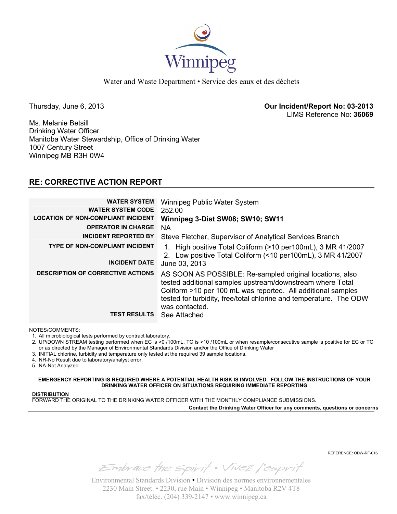

Thursday, June 6, 2013 **Our Incident/Report No: 03-2013**  LIMS Reference No: **36069**

Ms. Melanie Betsill Drinking Water Officer Manitoba Water Stewardship, Office of Drinking Water 1007 Century Street Winnipeg MB R3H 0W4

## **RE: CORRECTIVE ACTION REPORT**

| <b>WATER SYSTEM</b><br><b>WATER SYSTEM CODE</b><br><b>LOCATION OF NON-COMPLIANT INCIDENT</b> | Winnipeg Public Water System<br>252.00<br>Winnipeg 3-Dist SW08; SW10; SW11                                                                                                                                                                                                    |
|----------------------------------------------------------------------------------------------|-------------------------------------------------------------------------------------------------------------------------------------------------------------------------------------------------------------------------------------------------------------------------------|
| <b>OPERATOR IN CHARGE</b>                                                                    | <b>NA</b>                                                                                                                                                                                                                                                                     |
| <b>INCIDENT REPORTED BY</b>                                                                  | Steve Fletcher, Supervisor of Analytical Services Branch                                                                                                                                                                                                                      |
| <b>TYPE OF NON-COMPLIANT INCIDENT</b><br><b>INCIDENT DATE</b>                                | 1. High positive Total Coliform (>10 per100mL), 3 MR 41/2007<br>2. Low positive Total Coliform (<10 per100mL), 3 MR 41/2007                                                                                                                                                   |
|                                                                                              | June 03, 2013                                                                                                                                                                                                                                                                 |
| <b>DESCRIPTION OF CORRECTIVE ACTIONS</b>                                                     | AS SOON AS POSSIBLE: Re-sampled original locations, also<br>tested additional samples upstream/downstream where Total<br>Coliform >10 per 100 mL was reported. All additional samples<br>tested for turbidity, free/total chlorine and temperature. The ODW<br>was contacted. |
| <b>TEST RESULTS</b>                                                                          | See Attached                                                                                                                                                                                                                                                                  |

NOTES/COMMENTS:

1. All microbiological tests performed by contract laboratory.

- 2. UP/DOWN STREAM testing performed when EC is >0 /100mL, TC is >10 /100mL or when resample/consecutive sample is positive for EC or TC or as directed by the Manager of Environmental Standards Division and/or the Office of Drinking Water
- 3. INITIAL chlorine, turbidity and temperature only tested at the required 39 sample locations.
- 4. NR-No Result due to laboratory/analyst error.

5. NA-Not Analyzed.

**EMERGENCY REPORTING IS REQUIRED WHERE A POTENTIAL HEALTH RISK IS INVOLVED. FOLLOW THE INSTRUCTIONS OF YOUR DRINKING WATER OFFICER ON SITUATIONS REQUIRING IMMEDIATE REPORTING**

### **DISTRIBUTION**

FORWARD THE ORIGINAL TO THE DRINKING WATER OFFICER WITH THE MONTHLY COMPLIANCE SUBMISSIONS.

**Contact the Drinking Water Officer for any comments, questions or concerns**

REFERENCE: ODW-RF-016

Embrace the spirit . Vivez l'esprit

Environmental Standards Division • Division des normes environnementales 2230 Main Street. • 2230, rue Main • Winnipeg • Manitoba R2V 4T8 fax/téléc. (204) 339-2147 • www.winnipeg.ca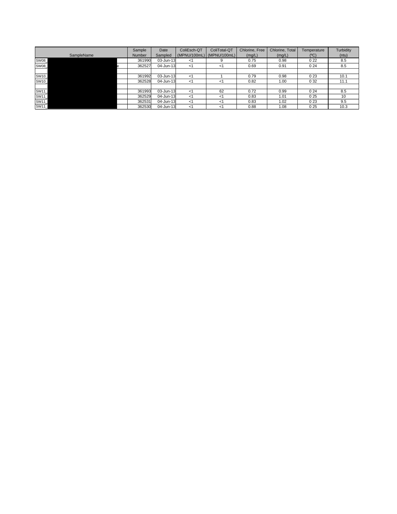| SampleName  | Sample<br><b>Number</b> | Date<br>Sampled | ColiEsch-QT | ColiTotal-QT<br>(MPNU/100mL) (MPNU/100mL) | Chlorine, Free<br>(mg/L) | Chlorine, Total<br>(mg/L) | Temperature<br>(°C) | Turbidity<br>(ntu) |
|-------------|-------------------------|-----------------|-------------|-------------------------------------------|--------------------------|---------------------------|---------------------|--------------------|
| <b>SW08</b> | 361990                  | 03-Jun-13       | ا>          |                                           | 0.75                     | 0.98                      | 022                 | 8.5                |
| SW08_       | 362527                  | 04-Jun-13       | -1          | ا>                                        | 0.69                     | 0.91                      | 024                 | 8.5                |
|             |                         |                 |             |                                           |                          |                           |                     |                    |
| SW10_       | 361992                  | 03-Jun-13       | <1          |                                           | 0.79                     | 0.98                      | 023                 | 10.1               |
| SW10        | 362528                  | 04-Jun-13       | - <1        | -1                                        | 0.82                     | 1.00                      | 0 3 2               | 11.1               |
|             |                         |                 |             |                                           |                          |                           |                     |                    |
| SW11_       | 361993                  | 03-Jun-13       | <1          | 62                                        | 0.72                     | 0.99                      | 024                 | 8.5                |
| SW11_       | 362529                  | 04-Jun-13       | -1          | <1                                        | 0.83                     | 1.01                      | 025                 | 10                 |
| SW11_       | 362531                  | 04-Jun-13       | -1          | -1                                        | 0.83                     | 1.02                      | 023                 | 9.5                |
| SW11        | 362530                  | 04-Jun-13       | <1          | - 1                                       | 0.88                     | 1.08                      | 025                 | 10.3               |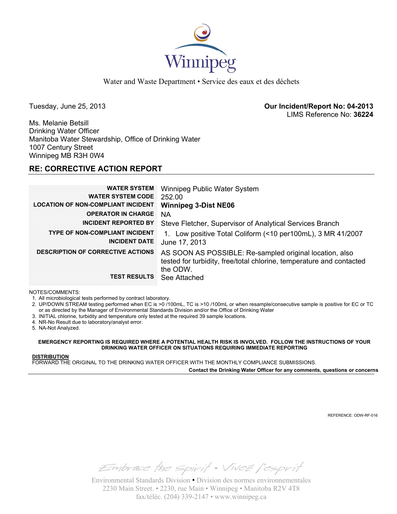

Tuesday, June 25, 2013 **Our Incident/Report No: 04-2013**  LIMS Reference No: **36224**

Ms. Melanie Betsill Drinking Water Officer Manitoba Water Stewardship, Office of Drinking Water 1007 Century Street Winnipeg MB R3H 0W4

## **RE: CORRECTIVE ACTION REPORT**

| <b>WATER SYSTEM</b>                       | Winnipeg Public Water System                                         |
|-------------------------------------------|----------------------------------------------------------------------|
| <b>WATER SYSTEM CODE</b>                  | 252.00                                                               |
| <b>LOCATION OF NON-COMPLIANT INCIDENT</b> | <b>Winnipeg 3-Dist NE06</b>                                          |
| <b>OPERATOR IN CHARGE</b>                 | NA                                                                   |
| <b>INCIDENT REPORTED BY</b>               | Steve Fletcher, Supervisor of Analytical Services Branch             |
| <b>TYPE OF NON-COMPLIANT INCIDENT</b>     | 1. Low positive Total Coliform (<10 per100mL), 3 MR 41/2007          |
| <b>INCIDENT DATE</b>                      | June 17, 2013                                                        |
| <b>DESCRIPTION OF CORRECTIVE ACTIONS</b>  | AS SOON AS POSSIBLE: Re-sampled original location, also              |
|                                           | tested for turbidity, free/total chlorine, temperature and contacted |
|                                           | the ODW.                                                             |
| <b>TEST RESULTS</b>                       | See Attached                                                         |

NOTES/COMMENTS:

1. All microbiological tests performed by contract laboratory.

2. UP/DOWN STREAM testing performed when EC is >0 /100mL, TC is >10 /100mL or when resample/consecutive sample is positive for EC or TC or as directed by the Manager of Environmental Standards Division and/or the Office of Drinking Water

- 3. INITIAL chlorine, turbidity and temperature only tested at the required 39 sample locations.
- 4. NR-No Result due to laboratory/analyst error.

5. NA-Not Analyzed.

**EMERGENCY REPORTING IS REQUIRED WHERE A POTENTIAL HEALTH RISK IS INVOLVED. FOLLOW THE INSTRUCTIONS OF YOUR DRINKING WATER OFFICER ON SITUATIONS REQUIRING IMMEDIATE REPORTING**

### **DISTRIBUTION**

FORWARD THE ORIGINAL TO THE DRINKING WATER OFFICER WITH THE MONTHLY COMPLIANCE SUBMISSIONS.

**Contact the Drinking Water Officer for any comments, questions or concerns**

REFERENCE: ODW-RF-016

Embrace the spirit . Vivez l'esprit

Environmental Standards Division • Division des normes environnementales 2230 Main Street. • 2230, rue Main • Winnipeg • Manitoba R2V 4T8 fax/téléc. (204) 339-2147 • www.winnipeg.ca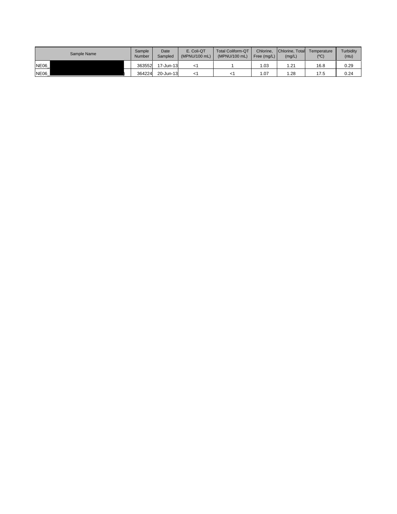| Sample Name | Sample<br>Number | Date<br>Sampled | E. Coli-QT<br>(MPNU/100 mL) | <b>Total Coliform-QT</b><br>(MPNU/100 mL) | Chlorine.<br>Free $(mq/L)$ | Chlorine, Total<br>(mg/L) | Temperature<br>(°C) | Turbidity<br>(ntu) |
|-------------|------------------|-----------------|-----------------------------|-------------------------------------------|----------------------------|---------------------------|---------------------|--------------------|
| NE06        | 363552           | 17-Jun-13       |                             |                                           | 1.03                       | .21                       | 16.8                | 0.29               |
| <b>NE06</b> | 364224           | 20-Jun-13       |                             |                                           | 1.07                       | 28،                       | 17.5                | 0.24               |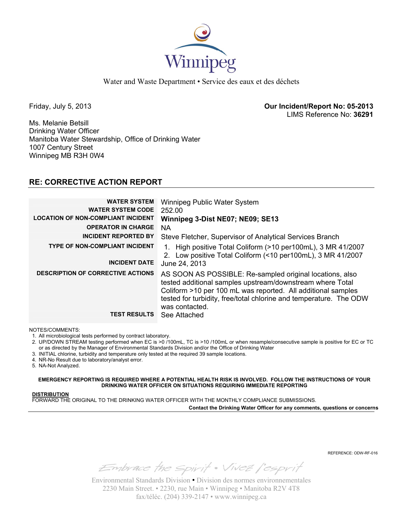

Friday, July 5, 2013 **Our Incident/Report No: 05-2013**  LIMS Reference No: **36291**

Ms. Melanie Betsill Drinking Water Officer Manitoba Water Stewardship, Office of Drinking Water 1007 Century Street Winnipeg MB R3H 0W4

## **RE: CORRECTIVE ACTION REPORT**

| <b>WATER SYSTEM</b><br><b>WATER SYSTEM CODE</b><br><b>LOCATION OF NON-COMPLIANT INCIDENT</b> | Winnipeg Public Water System<br>252.00<br>Winnipeg 3-Dist NE07; NE09; SE13                                                                                                                                                                                                    |
|----------------------------------------------------------------------------------------------|-------------------------------------------------------------------------------------------------------------------------------------------------------------------------------------------------------------------------------------------------------------------------------|
| <b>OPERATOR IN CHARGE</b>                                                                    | <b>NA</b>                                                                                                                                                                                                                                                                     |
| <b>INCIDENT REPORTED BY</b>                                                                  | Steve Fletcher, Supervisor of Analytical Services Branch                                                                                                                                                                                                                      |
| <b>TYPE OF NON-COMPLIANT INCIDENT</b><br><b>INCIDENT DATE</b>                                | 1. High positive Total Coliform (>10 per100mL), 3 MR 41/2007<br>Low positive Total Coliform (<10 per100mL), 3 MR 41/2007<br>$2_{-}$<br>June 24, 2013                                                                                                                          |
| <b>DESCRIPTION OF CORRECTIVE ACTIONS</b>                                                     | AS SOON AS POSSIBLE: Re-sampled original locations, also<br>tested additional samples upstream/downstream where Total<br>Coliform >10 per 100 mL was reported. All additional samples<br>tested for turbidity, free/total chlorine and temperature. The ODW<br>was contacted. |
| <b>TEST RESULTS</b>                                                                          | See Attached                                                                                                                                                                                                                                                                  |

NOTES/COMMENTS:

1. All microbiological tests performed by contract laboratory.

- 2. UP/DOWN STREAM testing performed when EC is >0 /100mL, TC is >10 /100mL or when resample/consecutive sample is positive for EC or TC or as directed by the Manager of Environmental Standards Division and/or the Office of Drinking Water
- 3. INITIAL chlorine, turbidity and temperature only tested at the required 39 sample locations.
- 4. NR-No Result due to laboratory/analyst error.

5. NA-Not Analyzed.

**EMERGENCY REPORTING IS REQUIRED WHERE A POTENTIAL HEALTH RISK IS INVOLVED. FOLLOW THE INSTRUCTIONS OF YOUR DRINKING WATER OFFICER ON SITUATIONS REQUIRING IMMEDIATE REPORTING**

### **DISTRIBUTION**

FORWARD THE ORIGINAL TO THE DRINKING WATER OFFICER WITH THE MONTHLY COMPLIANCE SUBMISSIONS.

**Contact the Drinking Water Officer for any comments, questions or concerns**

REFERENCE: ODW-RF-016

Embrace the spirit . Vivez l'esprit

Environmental Standards Division • Division des normes environnementales 2230 Main Street. • 2230, rue Main • Winnipeg • Manitoba R2V 4T8 fax/téléc. (204) 339-2147 • www.winnipeg.ca